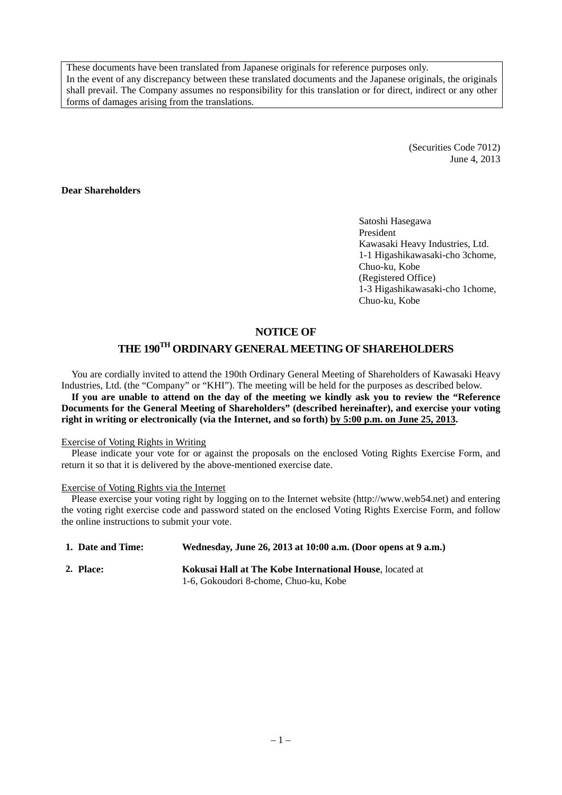These documents have been translated from Japanese originals for reference purposes only. In the event of any discrepancy between these translated documents and the Japanese originals, the originals shall prevail. The Company assumes no responsibility for this translation or for direct, indirect or any other forms of damages arising from the translations.

> (Securities Code 7012) June 4, 2013

### **Dear Shareholders**

Satoshi Hasegawa President Kawasaki Heavy Industries, Ltd. 1-1 Higashikawasaki-cho 3chome, Chuo-ku, Kobe (Registered Office) 1-3 Higashikawasaki-cho 1chome, Chuo-ku, Kobe

### **NOTICE OF**

# **THE 190TH ORDINARY GENERAL MEETING OF SHAREHOLDERS**

You are cordially invited to attend the 190th Ordinary General Meeting of Shareholders of Kawasaki Heavy Industries, Ltd. (the "Company" or "KHI"). The meeting will be held for the purposes as described below. **If you are unable to attend on the day of the meeting we kindly ask you to review the "Reference Documents for the General Meeting of Shareholders" (described hereinafter), and exercise your voting right in writing or electronically (via the Internet, and so forth) by 5:00 p.m. on June 25, 2013.** 

#### Exercise of Voting Rights in Writing

Please indicate your vote for or against the proposals on the enclosed Voting Rights Exercise Form, and return it so that it is delivered by the above-mentioned exercise date.

#### Exercise of Voting Rights via the Internet

Please exercise your voting right by logging on to the Internet website (http://www.web54.net) and entering the voting right exercise code and password stated on the enclosed Voting Rights Exercise Form, and follow the online instructions to submit your vote.

| 1. Date and Time: | Wednesday, June 26, 2013 at 10:00 a.m. (Door opens at 9 a.m.)                                             |
|-------------------|-----------------------------------------------------------------------------------------------------------|
| 2. Place:         | <b>Kokusai Hall at The Kobe International House, located at </b><br>1-6, Gokoudori 8-chome, Chuo-ku, Kobe |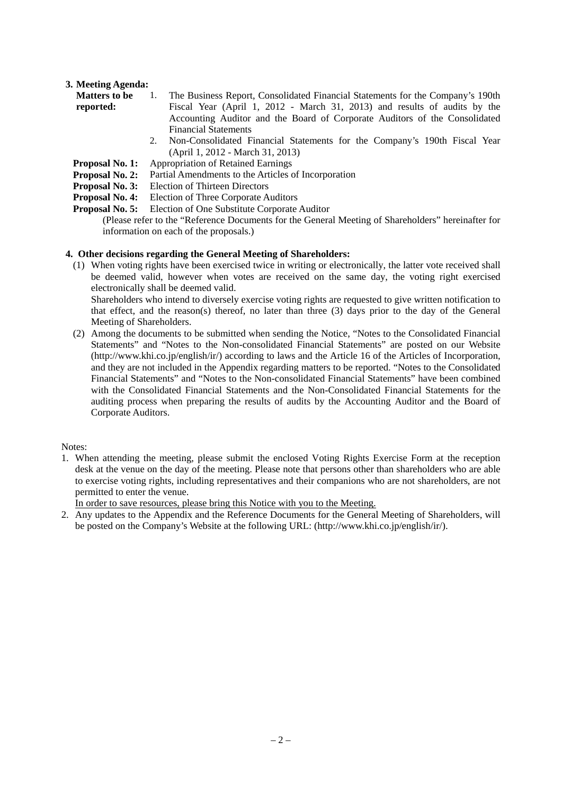## **3. Meeting Agenda:**

| <b>Matters to be</b> | The Business Report, Consolidated Financial Statements for the Company's 190th |
|----------------------|--------------------------------------------------------------------------------|
| reported:            | Fiscal Year (April 1, 2012 - March 31, 2013) and results of audits by the      |
|                      | Accounting Auditor and the Board of Corporate Auditors of the Consolidated     |
|                      | <b>Financial Statements</b>                                                    |
|                      | Non-Consolidated Financial Statements for the Company's 190th Fiscal Year      |

- 2. Non-Consolidated Financial Statements for the Company's 190th Fiscal Year (April 1, 2012 - March 31, 2013)
	- **Proposal No. 1:** Appropriation of Retained Earnings
	- **Proposal No. 2:** Partial Amendments to the Articles of Incorporation
- **Proposal No. 3:** Election of Thirteen Directors
- **Proposal No. 4:** Election of Three Corporate Auditors
- **Proposal No. 5:** Election of One Substitute Corporate Auditor

(Please refer to the "Reference Documents for the General Meeting of Shareholders" hereinafter for information on each of the proposals.)

### **4. Other decisions regarding the General Meeting of Shareholders:**

(1) When voting rights have been exercised twice in writing or electronically, the latter vote received shall be deemed valid, however when votes are received on the same day, the voting right exercised electronically shall be deemed valid.

 Shareholders who intend to diversely exercise voting rights are requested to give written notification to that effect, and the reason(s) thereof, no later than three (3) days prior to the day of the General Meeting of Shareholders.

(2) Among the documents to be submitted when sending the Notice, "Notes to the Consolidated Financial Statements" and "Notes to the Non-consolidated Financial Statements" are posted on our Website (http://www.khi.co.jp/english/ir/) according to laws and the Article 16 of the Articles of Incorporation, and they are not included in the Appendix regarding matters to be reported. "Notes to the Consolidated Financial Statements" and "Notes to the Non-consolidated Financial Statements" have been combined with the Consolidated Financial Statements and the Non-Consolidated Financial Statements for the auditing process when preparing the results of audits by the Accounting Auditor and the Board of Corporate Auditors.

Notes:

1. When attending the meeting, please submit the enclosed Voting Rights Exercise Form at the reception desk at the venue on the day of the meeting. Please note that persons other than shareholders who are able to exercise voting rights, including representatives and their companions who are not shareholders, are not permitted to enter the venue.

In order to save resources, please bring this Notice with you to the Meeting.

2. Any updates to the Appendix and the Reference Documents for the General Meeting of Shareholders, will be posted on the Company's Website at the following URL: (http://www.khi.co.jp/english/ir/).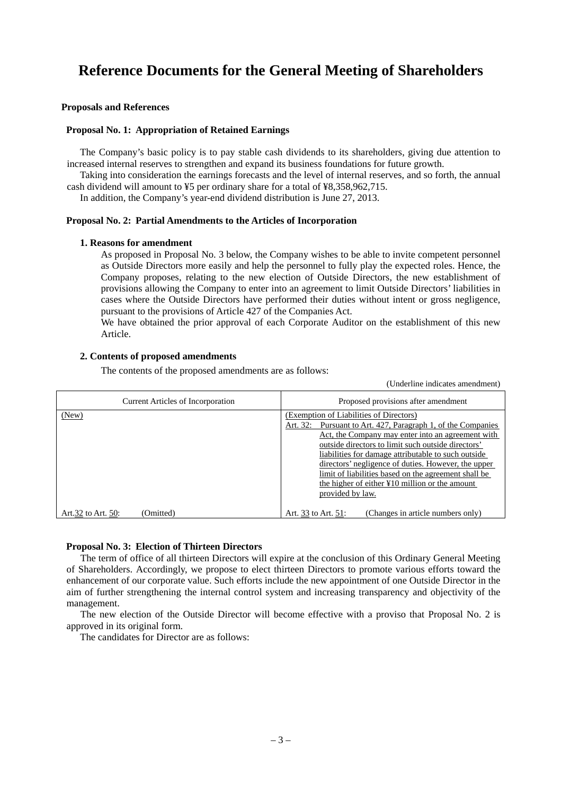# **Reference Documents for the General Meeting of Shareholders**

### **Proposals and References**

#### **Proposal No. 1: Appropriation of Retained Earnings**

The Company's basic policy is to pay stable cash dividends to its shareholders, giving due attention to increased internal reserves to strengthen and expand its business foundations for future growth.

Taking into consideration the earnings forecasts and the level of internal reserves, and so forth, the annual cash dividend will amount to ¥5 per ordinary share for a total of ¥8,358,962,715.

In addition, the Company's year-end dividend distribution is June 27, 2013.

#### **Proposal No. 2: Partial Amendments to the Articles of Incorporation**

#### **1. Reasons for amendment**

As proposed in Proposal No. 3 below, the Company wishes to be able to invite competent personnel as Outside Directors more easily and help the personnel to fully play the expected roles. Hence, the Company proposes, relating to the new election of Outside Directors, the new establishment of provisions allowing the Company to enter into an agreement to limit Outside Directors' liabilities in cases where the Outside Directors have performed their duties without intent or gross negligence, pursuant to the provisions of Article 427 of the Companies Act.

We have obtained the prior approval of each Corporate Auditor on the establishment of this new Article.

#### **2. Contents of proposed amendments**

The contents of the proposed amendments are as follows:

(Underline indicates amendment)

| <b>Current Articles of Incorporation</b> | Proposed provisions after amendment                                                                                                                                                                                                                                                                                                                                                                                                                                       |
|------------------------------------------|---------------------------------------------------------------------------------------------------------------------------------------------------------------------------------------------------------------------------------------------------------------------------------------------------------------------------------------------------------------------------------------------------------------------------------------------------------------------------|
| (New)                                    | (Exemption of Liabilities of Directors)<br>Pursuant to Art. 427, Paragraph 1, of the Companies<br>Art. 32:<br>Act, the Company may enter into an agreement with<br>outside directors to limit such outside directors'<br>liabilities for damage attributable to such outside<br>directors' negligence of duties. However, the upper<br>limit of liabilities based on the agreement shall be<br>the higher of either $\angle 10$ million or the amount<br>provided by law. |
| Art.32 to Art. 50:<br>(Omitted)          | (Changes in article numbers only)<br>Art. 33 to Art. 51:                                                                                                                                                                                                                                                                                                                                                                                                                  |

#### **Proposal No. 3: Election of Thirteen Directors**

The term of office of all thirteen Directors will expire at the conclusion of this Ordinary General Meeting of Shareholders. Accordingly, we propose to elect thirteen Directors to promote various efforts toward the enhancement of our corporate value. Such efforts include the new appointment of one Outside Director in the aim of further strengthening the internal control system and increasing transparency and objectivity of the management.

The new election of the Outside Director will become effective with a proviso that Proposal No. 2 is approved in its original form.

The candidates for Director are as follows: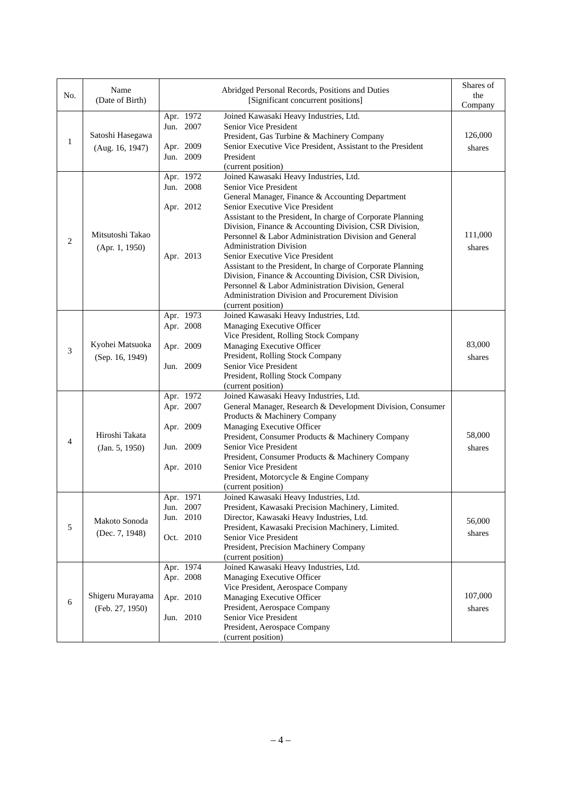| No.                                     | Name<br>(Date of Birth)                                                                                                                                                                                                                                                                                                                                                                                                                                                                                                                                                                                                                                                                                                                                          | Abridged Personal Records, Positions and Duties<br>[Significant concurrent positions] |                                                                                                                                                                                                                                                                                        |                   |
|-----------------------------------------|------------------------------------------------------------------------------------------------------------------------------------------------------------------------------------------------------------------------------------------------------------------------------------------------------------------------------------------------------------------------------------------------------------------------------------------------------------------------------------------------------------------------------------------------------------------------------------------------------------------------------------------------------------------------------------------------------------------------------------------------------------------|---------------------------------------------------------------------------------------|----------------------------------------------------------------------------------------------------------------------------------------------------------------------------------------------------------------------------------------------------------------------------------------|-------------------|
| 1                                       | Apr. 1972<br>Joined Kawasaki Heavy Industries, Ltd.<br>Jun. 2007<br>Senior Vice President<br>Satoshi Hasegawa<br>President, Gas Turbine & Machinery Company<br>Senior Executive Vice President, Assistant to the President<br>Apr. 2009<br>(Aug. 16, 1947)<br>Jun. 2009<br>President<br>(current position)                                                                                                                                                                                                                                                                                                                                                                                                                                                       |                                                                                       | Company<br>126,000<br>shares                                                                                                                                                                                                                                                           |                   |
| 2                                       | Joined Kawasaki Heavy Industries, Ltd.<br>Apr. 1972<br>Jun. 2008<br>Senior Vice President<br>General Manager, Finance & Accounting Department<br>Senior Executive Vice President<br>Apr. 2012<br>Assistant to the President, In charge of Corporate Planning<br>Division, Finance & Accounting Division, CSR Division,<br>Mitsutoshi Takao<br>Personnel & Labor Administration Division and General<br><b>Administration Division</b><br>(Apr. 1, 1950)<br>Apr. 2013<br>Senior Executive Vice President<br>Assistant to the President, In charge of Corporate Planning<br>Division, Finance & Accounting Division, CSR Division,<br>Personnel & Labor Administration Division, General<br>Administration Division and Procurement Division<br>(current position) |                                                                                       | 111,000<br>shares                                                                                                                                                                                                                                                                      |                   |
| Kyohei Matsuoka<br>3<br>(Sep. 16, 1949) |                                                                                                                                                                                                                                                                                                                                                                                                                                                                                                                                                                                                                                                                                                                                                                  | Apr. 1973<br>Apr. 2008<br>Apr. 2009<br>Jun. 2009                                      | Joined Kawasaki Heavy Industries, Ltd.<br>Managing Executive Officer<br>Vice President, Rolling Stock Company<br>Managing Executive Officer<br>President, Rolling Stock Company<br>Senior Vice President<br>President, Rolling Stock Company                                           | 83,000<br>shares  |
| 4                                       | (current position)<br>Joined Kawasaki Heavy Industries, Ltd.<br>Apr. 1972<br>Apr. 2007<br>General Manager, Research & Development Division, Consumer<br>Products & Machinery Company<br>Apr. 2009<br>Managing Executive Officer<br>Hiroshi Takata<br>President, Consumer Products & Machinery Company<br>Senior Vice President<br>Jun. 2009<br>(Jan. 5, 1950)<br>President, Consumer Products & Machinery Company<br>Apr. 2010<br>Senior Vice President<br>President, Motorcycle & Engine Company<br>(current position)                                                                                                                                                                                                                                          |                                                                                       | 58,000<br>shares                                                                                                                                                                                                                                                                       |                   |
| $\sqrt{5}$                              | Makoto Sonoda<br>(Dec. 7, 1948)                                                                                                                                                                                                                                                                                                                                                                                                                                                                                                                                                                                                                                                                                                                                  | Apr. 1971<br>Jun. 2007<br>Jun. 2010<br>Oct. 2010                                      | Joined Kawasaki Heavy Industries, Ltd.<br>President, Kawasaki Precision Machinery, Limited.<br>Director, Kawasaki Heavy Industries, Ltd.<br>President, Kawasaki Precision Machinery, Limited.<br>Senior Vice President<br>President, Precision Machinery Company<br>(current position) | 56,000<br>shares  |
| 6                                       | Shigeru Murayama<br>(Feb. 27, 1950)                                                                                                                                                                                                                                                                                                                                                                                                                                                                                                                                                                                                                                                                                                                              | Apr. 1974<br>Apr. 2008<br>Apr. 2010<br>Jun. 2010                                      | Joined Kawasaki Heavy Industries, Ltd.<br>Managing Executive Officer<br>Vice President, Aerospace Company<br>Managing Executive Officer<br>President, Aerospace Company<br>Senior Vice President<br>President, Aerospace Company<br>(current position)                                 | 107,000<br>shares |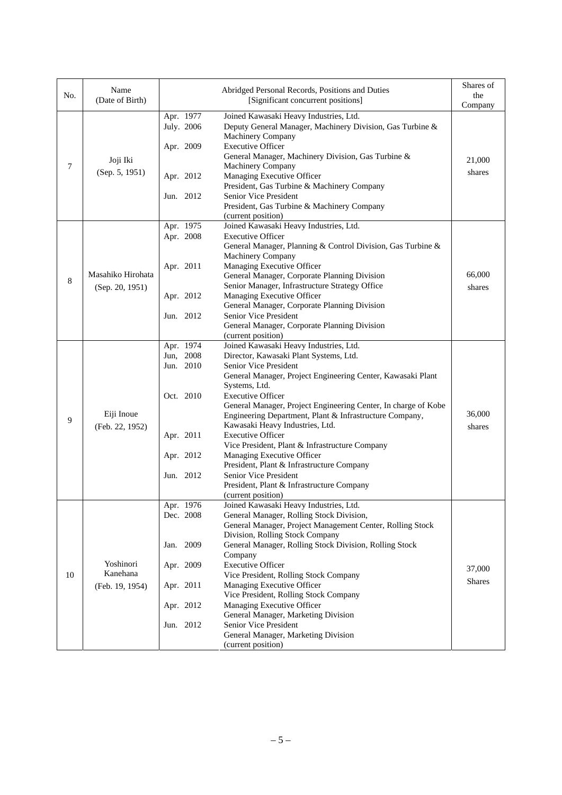| No. | Name<br>(Date of Birth)              |                                      | Abridged Personal Records, Positions and Duties<br>[Significant concurrent positions]                                                                                                                                                                                                                    |                  |  |
|-----|--------------------------------------|--------------------------------------|----------------------------------------------------------------------------------------------------------------------------------------------------------------------------------------------------------------------------------------------------------------------------------------------------------|------------------|--|
| 7   | Joji Iki                             | Apr. 1977<br>July. 2006<br>Apr. 2009 | Joined Kawasaki Heavy Industries, Ltd.<br>Deputy General Manager, Machinery Division, Gas Turbine &<br>Machinery Company<br><b>Executive Officer</b><br>General Manager, Machinery Division, Gas Turbine &<br>Machinery Company                                                                          | 21,000           |  |
|     | (Sep. 5, 1951)                       | Apr. 2012<br>Jun. 2012               | Managing Executive Officer<br>President, Gas Turbine & Machinery Company<br>Senior Vice President                                                                                                                                                                                                        | shares           |  |
|     |                                      |                                      | President, Gas Turbine & Machinery Company<br>(current position)                                                                                                                                                                                                                                         |                  |  |
|     |                                      | Apr. 1975<br>Apr. 2008               | Joined Kawasaki Heavy Industries, Ltd.<br><b>Executive Officer</b><br>General Manager, Planning & Control Division, Gas Turbine &<br>Machinery Company                                                                                                                                                   |                  |  |
| 8   | Masahiko Hirohata<br>(Sep. 20, 1951) | Apr. 2011                            | Managing Executive Officer<br>General Manager, Corporate Planning Division<br>Senior Manager, Infrastructure Strategy Office                                                                                                                                                                             | 66,000<br>shares |  |
|     |                                      | Apr. 2012<br>Jun. 2012               | Managing Executive Officer<br>General Manager, Corporate Planning Division<br>Senior Vice President<br>General Manager, Corporate Planning Division                                                                                                                                                      |                  |  |
|     |                                      | Apr. 1974                            | (current position)<br>Joined Kawasaki Heavy Industries, Ltd.                                                                                                                                                                                                                                             |                  |  |
|     | Eiji Inoue                           | Jun, 2008<br>Jun. 2010<br>Oct. 2010  | Director, Kawasaki Plant Systems, Ltd.<br>Senior Vice President<br>General Manager, Project Engineering Center, Kawasaki Plant<br>Systems, Ltd.<br><b>Executive Officer</b><br>General Manager, Project Engineering Center, In charge of Kobe<br>Engineering Department, Plant & Infrastructure Company, | 36,000           |  |
| 9   | (Feb. 22, 1952)                      | Apr. 2011<br>Apr. 2012               | Kawasaki Heavy Industries, Ltd.<br><b>Executive Officer</b><br>Vice President, Plant & Infrastructure Company<br>Managing Executive Officer                                                                                                                                                              | shares           |  |
|     |                                      | Jun. 2012                            | President, Plant & Infrastructure Company<br>Senior Vice President<br>President, Plant & Infrastructure Company<br>(current position)                                                                                                                                                                    |                  |  |
|     |                                      | Apr. 1976<br>Dec. 2008               | Joined Kawasaki Heavy Industries, Ltd.<br>General Manager, Rolling Stock Division,<br>General Manager, Project Management Center, Rolling Stock<br>Division, Rolling Stock Company                                                                                                                       |                  |  |
|     | Yoshinori                            | Jan. 2009<br>Apr. 2009               | General Manager, Rolling Stock Division, Rolling Stock<br>Company<br><b>Executive Officer</b>                                                                                                                                                                                                            | 37,000           |  |
| 10  | Kanehana<br>(Feb. 19, 1954)          | Apr. 2011                            | Vice President, Rolling Stock Company<br>Managing Executive Officer<br>Vice President, Rolling Stock Company                                                                                                                                                                                             | <b>Shares</b>    |  |
|     |                                      | Apr. 2012<br>Jun. 2012               | Managing Executive Officer<br>General Manager, Marketing Division<br>Senior Vice President                                                                                                                                                                                                               |                  |  |
|     |                                      |                                      | General Manager, Marketing Division<br>(current position)                                                                                                                                                                                                                                                |                  |  |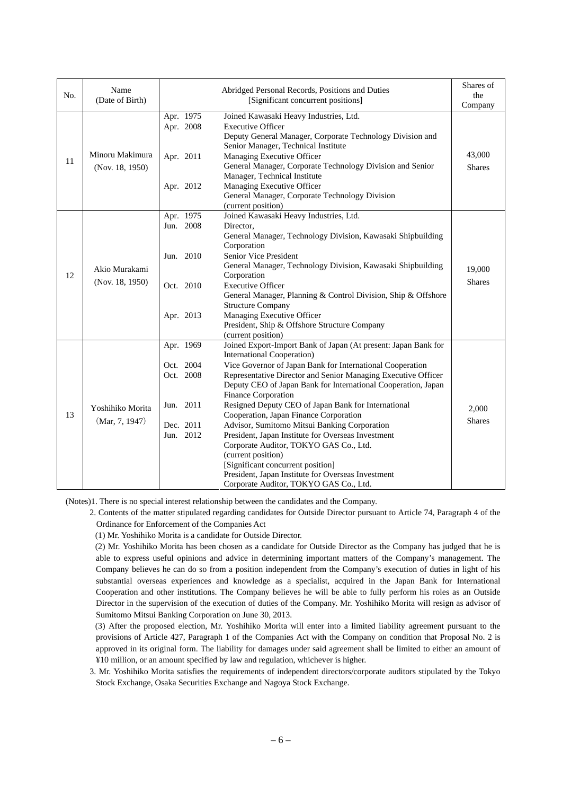| No. | Name<br>(Date of Birth)            | Abridged Personal Records, Positions and Duties<br>[Significant concurrent positions] |                                                                                                                                                                                                                                                                                                                                                                                                                                                                                                                                                                                                                                                                                                                                                              |                        |  |  |
|-----|------------------------------------|---------------------------------------------------------------------------------------|--------------------------------------------------------------------------------------------------------------------------------------------------------------------------------------------------------------------------------------------------------------------------------------------------------------------------------------------------------------------------------------------------------------------------------------------------------------------------------------------------------------------------------------------------------------------------------------------------------------------------------------------------------------------------------------------------------------------------------------------------------------|------------------------|--|--|
| 11  | Minoru Makimura<br>(Nov. 18, 1950) | Apr. 1975<br>Apr. 2008<br>Apr. 2011<br>Apr. 2012                                      | Company<br>43,000<br><b>Shares</b>                                                                                                                                                                                                                                                                                                                                                                                                                                                                                                                                                                                                                                                                                                                           |                        |  |  |
| 12  | Akio Murakami<br>(Nov. 18, 1950)   | Apr. 1975<br>Jun. 2008<br>Jun. 2010<br>Oct. 2010<br>Apr. 2013                         | Joined Kawasaki Heavy Industries, Ltd.<br>Director.<br>General Manager, Technology Division, Kawasaki Shipbuilding<br>Corporation<br>Senior Vice President<br>General Manager, Technology Division, Kawasaki Shipbuilding<br>Corporation<br><b>Executive Officer</b><br>General Manager, Planning & Control Division, Ship & Offshore<br><b>Structure Company</b><br>Managing Executive Officer<br>President, Ship & Offshore Structure Company                                                                                                                                                                                                                                                                                                              |                        |  |  |
| 13  | Yoshihiko Morita<br>(Mar, 7, 1947) | Apr. 1969<br>Oct. 2004<br>Oct. 2008<br>Jun. 2011<br>Dec. 2011<br>Jun. 2012            | (current position)<br>Joined Export-Import Bank of Japan (At present: Japan Bank for<br><b>International Cooperation</b> )<br>Vice Governor of Japan Bank for International Cooperation<br>Representative Director and Senior Managing Executive Officer<br>Deputy CEO of Japan Bank for International Cooperation, Japan<br>Finance Corporation<br>Resigned Deputy CEO of Japan Bank for International<br>Cooperation, Japan Finance Corporation<br>Advisor, Sumitomo Mitsui Banking Corporation<br>President, Japan Institute for Overseas Investment<br>Corporate Auditor, TOKYO GAS Co., Ltd.<br>(current position)<br>[Significant concurrent position]<br>President, Japan Institute for Overseas Investment<br>Corporate Auditor, TOKYO GAS Co., Ltd. | 2,000<br><b>Shares</b> |  |  |

(Notes)1. There is no special interest relationship between the candidates and the Company.

 2. Contents of the matter stipulated regarding candidates for Outside Director pursuant to Article 74, Paragraph 4 of the Ordinance for Enforcement of the Companies Act

(1) Mr. Yoshihiko Morita is a candidate for Outside Director.

(2) Mr. Yoshihiko Morita has been chosen as a candidate for Outside Director as the Company has judged that he is able to express useful opinions and advice in determining important matters of the Company's management. The Company believes he can do so from a position independent from the Company's execution of duties in light of his substantial overseas experiences and knowledge as a specialist, acquired in the Japan Bank for International Cooperation and other institutions. The Company believes he will be able to fully perform his roles as an Outside Director in the supervision of the execution of duties of the Company. Mr. Yoshihiko Morita will resign as advisor of Sumitomo Mitsui Banking Corporation on June 30, 2013.

(3) After the proposed election, Mr. Yoshihiko Morita will enter into a limited liability agreement pursuant to the provisions of Article 427, Paragraph 1 of the Companies Act with the Company on condition that Proposal No. 2 is approved in its original form. The liability for damages under said agreement shall be limited to either an amount of ¥10 million, or an amount specified by law and regulation, whichever is higher.

 3. Mr. Yoshihiko Morita satisfies the requirements of independent directors/corporate auditors stipulated by the Tokyo Stock Exchange, Osaka Securities Exchange and Nagoya Stock Exchange.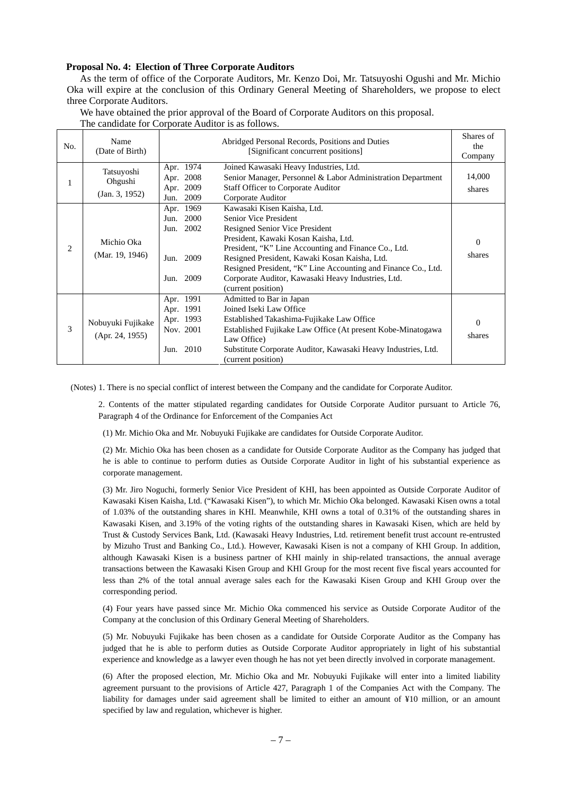#### **Proposal No. 4: Election of Three Corporate Auditors**

As the term of office of the Corporate Auditors, Mr. Kenzo Doi, Mr. Tatsuyoshi Ogushi and Mr. Michio Oka will expire at the conclusion of this Ordinary General Meeting of Shareholders, we propose to elect three Corporate Auditors.

We have obtained the prior approval of the Board of Corporate Auditors on this proposal. The candidate for Corporate Auditor is as follows.

| No. | Name<br>(Date of Birth)                 | Abridged Personal Records, Positions and Duties<br>[Significant concurrent positions]                                                                                                                                                                                                                                                  |                                                                                                                                                                                                                                                                                                                                                                                      |                    |  |  |
|-----|-----------------------------------------|----------------------------------------------------------------------------------------------------------------------------------------------------------------------------------------------------------------------------------------------------------------------------------------------------------------------------------------|--------------------------------------------------------------------------------------------------------------------------------------------------------------------------------------------------------------------------------------------------------------------------------------------------------------------------------------------------------------------------------------|--------------------|--|--|
| 1   | Tatsuyoshi<br>Ohgushi<br>(Jan. 3, 1952) | Apr. 1974<br>Apr. 2008<br>Apr. 2009<br>2009<br>Jun.                                                                                                                                                                                                                                                                                    | Joined Kawasaki Heavy Industries, Ltd.<br>Senior Manager, Personnel & Labor Administration Department<br><b>Staff Officer to Corporate Auditor</b><br>Corporate Auditor                                                                                                                                                                                                              |                    |  |  |
| 2   | Michio Oka<br>(Mar. 19, 1946)           | Apr. 1969<br>2000<br>Jun.<br>2002<br>Jun.<br>2009<br>Jun.<br>2009<br>Jun.                                                                                                                                                                                                                                                              | Kawasaki Kisen Kaisha, Ltd.<br>Senior Vice President<br>Resigned Senior Vice President<br>President, Kawaki Kosan Kaisha, Ltd.<br>President, "K" Line Accounting and Finance Co., Ltd.<br>Resigned President, Kawaki Kosan Kaisha, Ltd.<br>Resigned President, "K" Line Accounting and Finance Co., Ltd.<br>Corporate Auditor, Kawasaki Heavy Industries, Ltd.<br>(current position) |                    |  |  |
| 3   | Nobuyuki Fujikake<br>(Apr. 24, 1955)    | Apr. 1991<br>Admitted to Bar in Japan<br>Apr. 1991<br>Joined Iseki Law Office<br>Apr. 1993<br>Established Takashima-Fujikake Law Office<br>Nov. 2001<br>Established Fujikake Law Office (At present Kobe-Minatogawa<br>Law Office)<br>Jun. 2010<br>Substitute Corporate Auditor, Kawasaki Heavy Industries, Ltd.<br>(current position) |                                                                                                                                                                                                                                                                                                                                                                                      | $\Omega$<br>shares |  |  |

(Notes) 1. There is no special conflict of interest between the Company and the candidate for Corporate Auditor.

 2. Contents of the matter stipulated regarding candidates for Outside Corporate Auditor pursuant to Article 76, Paragraph 4 of the Ordinance for Enforcement of the Companies Act

(1) Mr. Michio Oka and Mr. Nobuyuki Fujikake are candidates for Outside Corporate Auditor.

(2) Mr. Michio Oka has been chosen as a candidate for Outside Corporate Auditor as the Company has judged that he is able to continue to perform duties as Outside Corporate Auditor in light of his substantial experience as corporate management.

(3) Mr. Jiro Noguchi, formerly Senior Vice President of KHI, has been appointed as Outside Corporate Auditor of Kawasaki Kisen Kaisha, Ltd. ("Kawasaki Kisen"), to which Mr. Michio Oka belonged. Kawasaki Kisen owns a total of 1.03% of the outstanding shares in KHI. Meanwhile, KHI owns a total of 0.31% of the outstanding shares in Kawasaki Kisen, and 3.19% of the voting rights of the outstanding shares in Kawasaki Kisen, which are held by Trust & Custody Services Bank, Ltd. (Kawasaki Heavy Industries, Ltd. retirement benefit trust account re-entrusted by Mizuho Trust and Banking Co., Ltd.). However, Kawasaki Kisen is not a company of KHI Group. In addition, although Kawasaki Kisen is a business partner of KHI mainly in ship-related transactions, the annual average transactions between the Kawasaki Kisen Group and KHI Group for the most recent five fiscal years accounted for less than 2% of the total annual average sales each for the Kawasaki Kisen Group and KHI Group over the corresponding period.

(4) Four years have passed since Mr. Michio Oka commenced his service as Outside Corporate Auditor of the Company at the conclusion of this Ordinary General Meeting of Shareholders.

(5) Mr. Nobuyuki Fujikake has been chosen as a candidate for Outside Corporate Auditor as the Company has judged that he is able to perform duties as Outside Corporate Auditor appropriately in light of his substantial experience and knowledge as a lawyer even though he has not yet been directly involved in corporate management.

(6) After the proposed election, Mr. Michio Oka and Mr. Nobuyuki Fujikake will enter into a limited liability agreement pursuant to the provisions of Article 427, Paragraph 1 of the Companies Act with the Company. The liability for damages under said agreement shall be limited to either an amount of ¥10 million, or an amount specified by law and regulation, whichever is higher.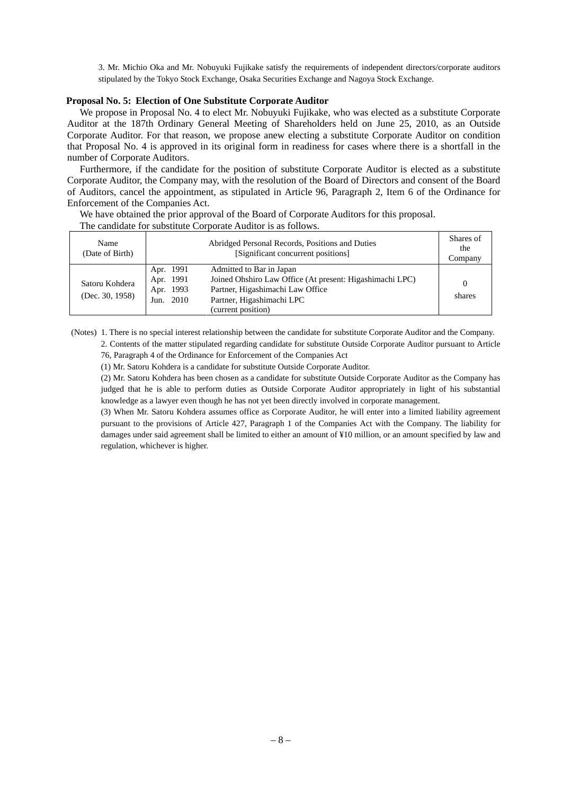3. Mr. Michio Oka and Mr. Nobuyuki Fujikake satisfy the requirements of independent directors/corporate auditors stipulated by the Tokyo Stock Exchange, Osaka Securities Exchange and Nagoya Stock Exchange.

#### **Proposal No. 5: Election of One Substitute Corporate Auditor**

We propose in Proposal No. 4 to elect Mr. Nobuyuki Fujikake, who was elected as a substitute Corporate Auditor at the 187th Ordinary General Meeting of Shareholders held on June 25, 2010, as an Outside Corporate Auditor. For that reason, we propose anew electing a substitute Corporate Auditor on condition that Proposal No. 4 is approved in its original form in readiness for cases where there is a shortfall in the number of Corporate Auditors.

Furthermore, if the candidate for the position of substitute Corporate Auditor is elected as a substitute Corporate Auditor, the Company may, with the resolution of the Board of Directors and consent of the Board of Auditors, cancel the appointment, as stipulated in Article 96, Paragraph 2, Item 6 of the Ordinance for Enforcement of the Companies Act.

We have obtained the prior approval of the Board of Corporate Auditors for this proposal.

The candidate for substitute Corporate Auditor is as follows.

| Name<br>(Date of Birth)           |                                                  | Shares of<br>the<br>Company                                                                                                                                                 |        |
|-----------------------------------|--------------------------------------------------|-----------------------------------------------------------------------------------------------------------------------------------------------------------------------------|--------|
| Satoru Kohdera<br>(Dec. 30, 1958) | Apr. 1991<br>Apr. 1991<br>Apr. 1993<br>Jun. 2010 | Admitted to Bar in Japan<br>Joined Ohshiro Law Office (At present: Higashimachi LPC)<br>Partner, Higashimachi Law Office<br>Partner, Higashimachi LPC<br>(current position) | shares |

(Notes) 1. There is no special interest relationship between the candidate for substitute Corporate Auditor and the Company. 2. Contents of the matter stipulated regarding candidate for substitute Outside Corporate Auditor pursuant to Article

76, Paragraph 4 of the Ordinance for Enforcement of the Companies Act

(1) Mr. Satoru Kohdera is a candidate for substitute Outside Corporate Auditor.

 (2) Mr. Satoru Kohdera has been chosen as a candidate for substitute Outside Corporate Auditor as the Company has judged that he is able to perform duties as Outside Corporate Auditor appropriately in light of his substantial knowledge as a lawyer even though he has not yet been directly involved in corporate management.

 (3) When Mr. Satoru Kohdera assumes office as Corporate Auditor, he will enter into a limited liability agreement pursuant to the provisions of Article 427, Paragraph 1 of the Companies Act with the Company. The liability for damages under said agreement shall be limited to either an amount of ¥10 million, or an amount specified by law and regulation, whichever is higher.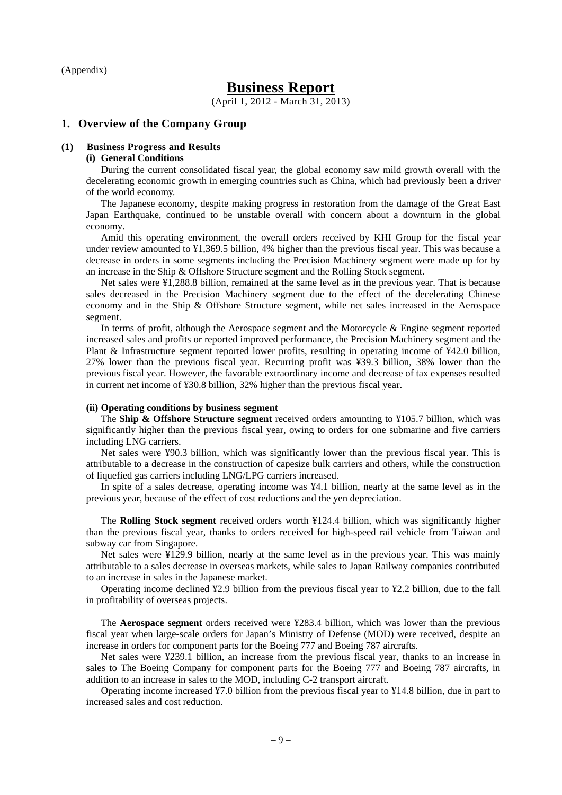(Appendix)

# **Business Report**

(April 1, 2012 - March 31, 2013)

#### **1. Overview of the Company Group**

#### **(1) Business Progress and Results**

#### **(i) General Conditions**

During the current consolidated fiscal year, the global economy saw mild growth overall with the decelerating economic growth in emerging countries such as China, which had previously been a driver of the world economy.

The Japanese economy, despite making progress in restoration from the damage of the Great East Japan Earthquake, continued to be unstable overall with concern about a downturn in the global economy.

Amid this operating environment, the overall orders received by KHI Group for the fiscal year under review amounted to ¥1,369.5 billion, 4% higher than the previous fiscal year. This was because a decrease in orders in some segments including the Precision Machinery segment were made up for by an increase in the Ship & Offshore Structure segment and the Rolling Stock segment.

Net sales were ¥1,288.8 billion, remained at the same level as in the previous year. That is because sales decreased in the Precision Machinery segment due to the effect of the decelerating Chinese economy and in the Ship & Offshore Structure segment, while net sales increased in the Aerospace segment.

In terms of profit, although the Aerospace segment and the Motorcycle & Engine segment reported increased sales and profits or reported improved performance, the Precision Machinery segment and the Plant & Infrastructure segment reported lower profits, resulting in operating income of ¥42.0 billion, 27% lower than the previous fiscal year. Recurring profit was ¥39.3 billion, 38% lower than the previous fiscal year. However, the favorable extraordinary income and decrease of tax expenses resulted in current net income of ¥30.8 billion, 32% higher than the previous fiscal year.

#### **(ii) Operating conditions by business segment**

The **Ship & Offshore Structure segment** received orders amounting to ¥105.7 billion, which was significantly higher than the previous fiscal year, owing to orders for one submarine and five carriers including LNG carriers.

Net sales were ¥90.3 billion, which was significantly lower than the previous fiscal year. This is attributable to a decrease in the construction of capesize bulk carriers and others, while the construction of liquefied gas carriers including LNG/LPG carriers increased.

In spite of a sales decrease, operating income was ¥4.1 billion, nearly at the same level as in the previous year, because of the effect of cost reductions and the yen depreciation.

The **Rolling Stock segment** received orders worth ¥124.4 billion, which was significantly higher than the previous fiscal year, thanks to orders received for high-speed rail vehicle from Taiwan and subway car from Singapore.

Net sales were ¥129.9 billion, nearly at the same level as in the previous year. This was mainly attributable to a sales decrease in overseas markets, while sales to Japan Railway companies contributed to an increase in sales in the Japanese market.

Operating income declined ¥2.9 billion from the previous fiscal year to ¥2.2 billion, due to the fall in profitability of overseas projects.

The **Aerospace segment** orders received were ¥283.4 billion, which was lower than the previous fiscal year when large-scale orders for Japan's Ministry of Defense (MOD) were received, despite an increase in orders for component parts for the Boeing 777 and Boeing 787 aircrafts.

Net sales were ¥239.1 billion, an increase from the previous fiscal year, thanks to an increase in sales to The Boeing Company for component parts for the Boeing 777 and Boeing 787 aircrafts, in addition to an increase in sales to the MOD, including C-2 transport aircraft.

Operating income increased ¥7.0 billion from the previous fiscal year to ¥14.8 billion, due in part to increased sales and cost reduction.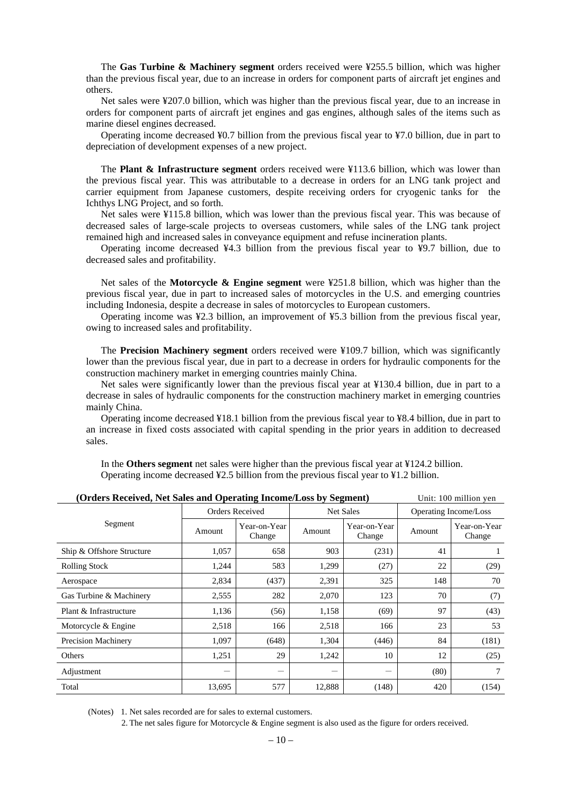The **Gas Turbine & Machinery segment** orders received were ¥255.5 billion, which was higher than the previous fiscal year, due to an increase in orders for component parts of aircraft jet engines and others.

Net sales were ¥207.0 billion, which was higher than the previous fiscal year, due to an increase in orders for component parts of aircraft jet engines and gas engines, although sales of the items such as marine diesel engines decreased.

Operating income decreased ¥0.7 billion from the previous fiscal year to ¥7.0 billion, due in part to depreciation of development expenses of a new project.

The **Plant & Infrastructure segment** orders received were ¥113.6 billion, which was lower than the previous fiscal year. This was attributable to a decrease in orders for an LNG tank project and carrier equipment from Japanese customers, despite receiving orders for cryogenic tanks for the Ichthys LNG Project, and so forth.

Net sales were ¥115.8 billion, which was lower than the previous fiscal year. This was because of decreased sales of large-scale projects to overseas customers, while sales of the LNG tank project remained high and increased sales in conveyance equipment and refuse incineration plants.

Operating income decreased ¥4.3 billion from the previous fiscal year to ¥9.7 billion, due to decreased sales and profitability.

Net sales of the **Motorcycle & Engine segment** were ¥251.8 billion, which was higher than the previous fiscal year, due in part to increased sales of motorcycles in the U.S. and emerging countries including Indonesia, despite a decrease in sales of motorcycles to European customers.

Operating income was ¥2.3 billion, an improvement of ¥5.3 billion from the previous fiscal year, owing to increased sales and profitability.

The **Precision Machinery segment** orders received were ¥109.7 billion, which was significantly lower than the previous fiscal year, due in part to a decrease in orders for hydraulic components for the construction machinery market in emerging countries mainly China.

Net sales were significantly lower than the previous fiscal year at ¥130.4 billion, due in part to a decrease in sales of hydraulic components for the construction machinery market in emerging countries mainly China.

Operating income decreased ¥18.1 billion from the previous fiscal year to ¥8.4 billion, due in part to an increase in fixed costs associated with capital spending in the prior years in addition to decreased sales.

In the **Others segment** net sales were higher than the previous fiscal year at ¥124.2 billion. Operating income decreased ¥2.5 billion from the previous fiscal year to ¥1.2 billion.

| (Orders Received, Net Sales and Operating Income/Loss by Segment) |                 |                        |        | Unit: 100 million yen  |                       |                        |
|-------------------------------------------------------------------|-----------------|------------------------|--------|------------------------|-----------------------|------------------------|
|                                                                   | Orders Received |                        |        | <b>Net Sales</b>       | Operating Income/Loss |                        |
| Segment                                                           | Amount          | Year-on-Year<br>Change | Amount | Year-on-Year<br>Change | Amount                | Year-on-Year<br>Change |
| Ship & Offshore Structure                                         | 1,057           | 658                    | 903    | (231)                  | 41                    |                        |
| <b>Rolling Stock</b>                                              | 1,244           | 583                    | 1,299  | (27)                   | 22                    | (29)                   |
| Aerospace                                                         | 2,834           | (437)                  | 2,391  | 325                    | 148                   | 70                     |
| Gas Turbine & Machinery                                           | 2,555           | 282                    | 2,070  | 123                    | 70                    | (7)                    |
| Plant & Infrastructure                                            | 1,136           | (56)                   | 1,158  | (69)                   | 97                    | (43)                   |
| Motorcycle & Engine                                               | 2,518           | 166                    | 2,518  | 166                    | 23                    | 53                     |
| <b>Precision Machinery</b>                                        | 1,097           | (648)                  | 1,304  | (446)                  | 84                    | (181)                  |
| Others                                                            | 1,251           | 29                     | 1,242  | 10                     | 12                    | (25)                   |
| Adjustment                                                        | -               | —                      |        | $\qquad \qquad$        | (80)                  | 7                      |
| Total                                                             | 13,695          | 577                    | 12,888 | (148)                  | 420                   | (154)                  |

(Notes) 1. Net sales recorded are for sales to external customers.

2. The net sales figure for Motorcycle & Engine segment is also used as the figure for orders received.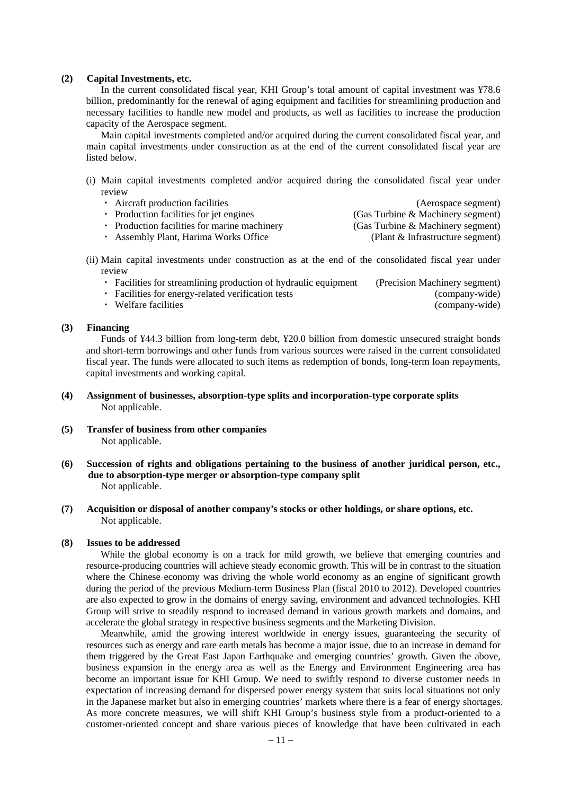#### **(2) Capital Investments, etc.**

In the current consolidated fiscal year, KHI Group's total amount of capital investment was ¥78.6 billion, predominantly for the renewal of aging equipment and facilities for streamlining production and necessary facilities to handle new model and products, as well as facilities to increase the production capacity of the Aerospace segment.

Main capital investments completed and/or acquired during the current consolidated fiscal year, and main capital investments under construction as at the end of the current consolidated fiscal year are listed below.

(i) Main capital investments completed and/or acquired during the consolidated fiscal year under review

| • Aircraft production facilities             | (Aerospace segment)               |
|----------------------------------------------|-----------------------------------|
| • Production facilities for jet engines      | (Gas Turbine & Machinery segment) |
| • Production facilities for marine machinery | (Gas Turbine & Machinery segment) |
| • Assembly Plant, Harima Works Office        | (Plant & Infrastructure segment)  |
|                                              |                                   |

- (ii) Main capital investments under construction as at the end of the consolidated fiscal year under review
	- ・ Facilities for streamlining production of hydraulic equipment (Precision Machinery segment)
		-

・ Facilities for energy-related verification tests (company-wide)

• Welfare facilities (company-wide)

#### **(3) Financing**

Funds of ¥44.3 billion from long-term debt, ¥20.0 billion from domestic unsecured straight bonds and short-term borrowings and other funds from various sources were raised in the current consolidated fiscal year. The funds were allocated to such items as redemption of bonds, long-term loan repayments, capital investments and working capital.

- **(4) Assignment of businesses, absorption-type splits and incorporation-type corporate splits**  Not applicable.
- **(5) Transfer of business from other companies**  Not applicable.
- **(6) Succession of rights and obligations pertaining to the business of another juridical person, etc., due to absorption-type merger or absorption-type company split**  Not applicable.
- **(7) Acquisition or disposal of another company's stocks or other holdings, or share options, etc.**  Not applicable.

#### **(8) Issues to be addressed**

While the global economy is on a track for mild growth, we believe that emerging countries and resource-producing countries will achieve steady economic growth. This will be in contrast to the situation where the Chinese economy was driving the whole world economy as an engine of significant growth during the period of the previous Medium-term Business Plan (fiscal 2010 to 2012). Developed countries are also expected to grow in the domains of energy saving, environment and advanced technologies. KHI Group will strive to steadily respond to increased demand in various growth markets and domains, and accelerate the global strategy in respective business segments and the Marketing Division.

Meanwhile, amid the growing interest worldwide in energy issues, guaranteeing the security of resources such as energy and rare earth metals has become a major issue, due to an increase in demand for them triggered by the Great East Japan Earthquake and emerging countries' growth. Given the above, business expansion in the energy area as well as the Energy and Environment Engineering area has become an important issue for KHI Group. We need to swiftly respond to diverse customer needs in expectation of increasing demand for dispersed power energy system that suits local situations not only in the Japanese market but also in emerging countries' markets where there is a fear of energy shortages. As more concrete measures, we will shift KHI Group's business style from a product-oriented to a customer-oriented concept and share various pieces of knowledge that have been cultivated in each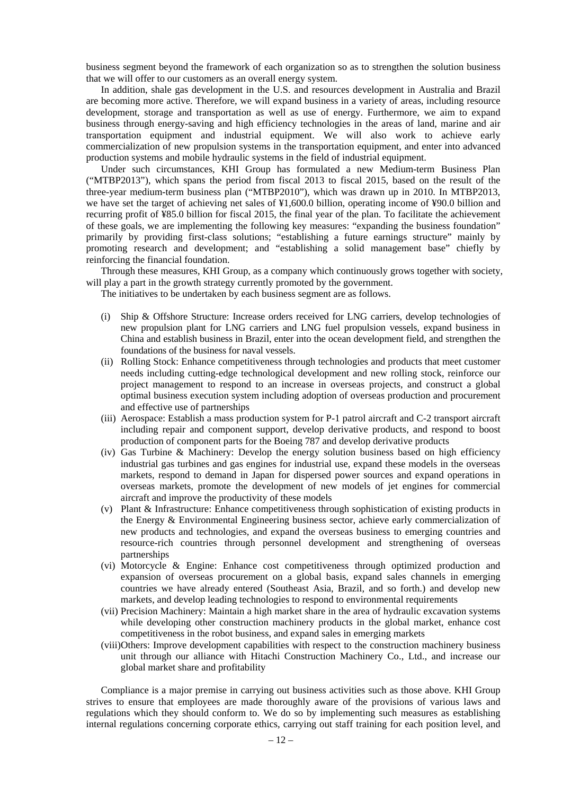business segment beyond the framework of each organization so as to strengthen the solution business that we will offer to our customers as an overall energy system.

In addition, shale gas development in the U.S. and resources development in Australia and Brazil are becoming more active. Therefore, we will expand business in a variety of areas, including resource development, storage and transportation as well as use of energy. Furthermore, we aim to expand business through energy-saving and high efficiency technologies in the areas of land, marine and air transportation equipment and industrial equipment. We will also work to achieve early commercialization of new propulsion systems in the transportation equipment, and enter into advanced production systems and mobile hydraulic systems in the field of industrial equipment.

Under such circumstances, KHI Group has formulated a new Medium-term Business Plan ("MTBP2013"), which spans the period from fiscal 2013 to fiscal 2015, based on the result of the three-year medium-term business plan ("MTBP2010"), which was drawn up in 2010. In MTBP2013, we have set the target of achieving net sales of ¥1,600.0 billion, operating income of ¥90.0 billion and recurring profit of ¥85.0 billion for fiscal 2015, the final year of the plan. To facilitate the achievement of these goals, we are implementing the following key measures: "expanding the business foundation" primarily by providing first-class solutions; "establishing a future earnings structure" mainly by promoting research and development; and "establishing a solid management base" chiefly by reinforcing the financial foundation.

Through these measures, KHI Group, as a company which continuously grows together with society, will play a part in the growth strategy currently promoted by the government.

The initiatives to be undertaken by each business segment are as follows.

- (i) Ship & Offshore Structure: Increase orders received for LNG carriers, develop technologies of new propulsion plant for LNG carriers and LNG fuel propulsion vessels, expand business in China and establish business in Brazil, enter into the ocean development field, and strengthen the foundations of the business for naval vessels.
- (ii) Rolling Stock: Enhance competitiveness through technologies and products that meet customer needs including cutting-edge technological development and new rolling stock, reinforce our project management to respond to an increase in overseas projects, and construct a global optimal business execution system including adoption of overseas production and procurement and effective use of partnerships
- (iii) Aerospace: Establish a mass production system for P-1 patrol aircraft and C-2 transport aircraft including repair and component support, develop derivative products, and respond to boost production of component parts for the Boeing 787 and develop derivative products
- (iv) Gas Turbine & Machinery: Develop the energy solution business based on high efficiency industrial gas turbines and gas engines for industrial use, expand these models in the overseas markets, respond to demand in Japan for dispersed power sources and expand operations in overseas markets, promote the development of new models of jet engines for commercial aircraft and improve the productivity of these models
- (v) Plant & Infrastructure: Enhance competitiveness through sophistication of existing products in the Energy & Environmental Engineering business sector, achieve early commercialization of new products and technologies, and expand the overseas business to emerging countries and resource-rich countries through personnel development and strengthening of overseas partnerships
- (vi) Motorcycle & Engine: Enhance cost competitiveness through optimized production and expansion of overseas procurement on a global basis, expand sales channels in emerging countries we have already entered (Southeast Asia, Brazil, and so forth.) and develop new markets, and develop leading technologies to respond to environmental requirements
- (vii) Precision Machinery: Maintain a high market share in the area of hydraulic excavation systems while developing other construction machinery products in the global market, enhance cost competitiveness in the robot business, and expand sales in emerging markets
- (viii)Others: Improve development capabilities with respect to the construction machinery business unit through our alliance with Hitachi Construction Machinery Co., Ltd., and increase our global market share and profitability

Compliance is a major premise in carrying out business activities such as those above. KHI Group strives to ensure that employees are made thoroughly aware of the provisions of various laws and regulations which they should conform to. We do so by implementing such measures as establishing internal regulations concerning corporate ethics, carrying out staff training for each position level, and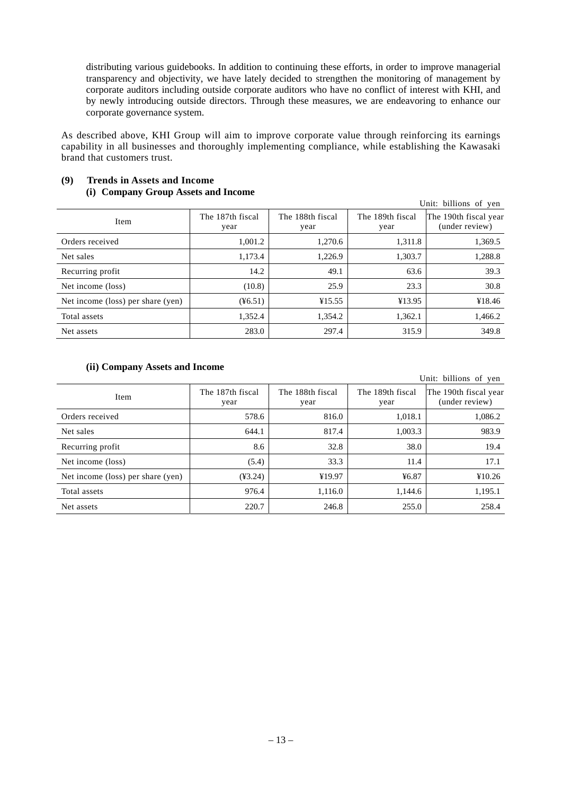distributing various guidebooks. In addition to continuing these efforts, in order to improve managerial transparency and objectivity, we have lately decided to strengthen the monitoring of management by corporate auditors including outside corporate auditors who have no conflict of interest with KHI, and by newly introducing outside directors. Through these measures, we are endeavoring to enhance our corporate governance system.

As described above, KHI Group will aim to improve corporate value through reinforcing its earnings capability in all businesses and thoroughly implementing compliance, while establishing the Kawasaki brand that customers trust.

| Unit: billions of yen             |                          |                          |                          |                                         |  |  |
|-----------------------------------|--------------------------|--------------------------|--------------------------|-----------------------------------------|--|--|
| Item                              | The 187th fiscal<br>year | The 188th fiscal<br>year | The 189th fiscal<br>year | The 190th fiscal year<br>(under review) |  |  |
| Orders received                   | 1.001.2                  | 1.270.6                  | 1.311.8                  | 1,369.5                                 |  |  |
| Net sales                         | 1,173.4                  | 1,226.9                  | 1,303.7                  | 1,288.8                                 |  |  |
| Recurring profit                  | 14.2                     | 49.1                     | 63.6                     | 39.3                                    |  |  |
| Net income (loss)                 | (10.8)                   | 25.9                     | 23.3                     | 30.8                                    |  |  |
| Net income (loss) per share (yen) | (46.51)                  | ¥15.55                   | ¥13.95                   | ¥18.46                                  |  |  |
| Total assets                      | 1,352.4                  | 1,354.2                  | 1,362.1                  | 1,466.2                                 |  |  |
| Net assets                        | 283.0                    | 297.4                    | 315.9                    | 349.8                                   |  |  |

## **(9) Trends in Assets and Income (i) Company Group Assets and Income**

## **(ii) Company Assets and Income**

| Unit: billions of yen             |                          |                          |                          |                                         |  |
|-----------------------------------|--------------------------|--------------------------|--------------------------|-----------------------------------------|--|
| Item                              | The 187th fiscal<br>year | The 188th fiscal<br>year | The 189th fiscal<br>year | The 190th fiscal year<br>(under review) |  |
| Orders received                   | 578.6                    | 816.0                    | 1,018.1                  | 1,086.2                                 |  |
| Net sales                         | 644.1                    | 817.4                    | 1,003.3                  | 983.9                                   |  |
| Recurring profit                  | 8.6                      | 32.8                     | 38.0                     | 19.4                                    |  |
| Net income (loss)                 | (5.4)                    | 33.3                     | 11.4                     | 17.1                                    |  |
| Net income (loss) per share (yen) | $(*3.24)$                | ¥19.97                   | 46.87                    | ¥10.26                                  |  |
| Total assets                      | 976.4                    | 1,116.0                  | 1,144.6                  | 1,195.1                                 |  |
| Net assets                        | 220.7                    | 246.8                    | 255.0                    | 258.4                                   |  |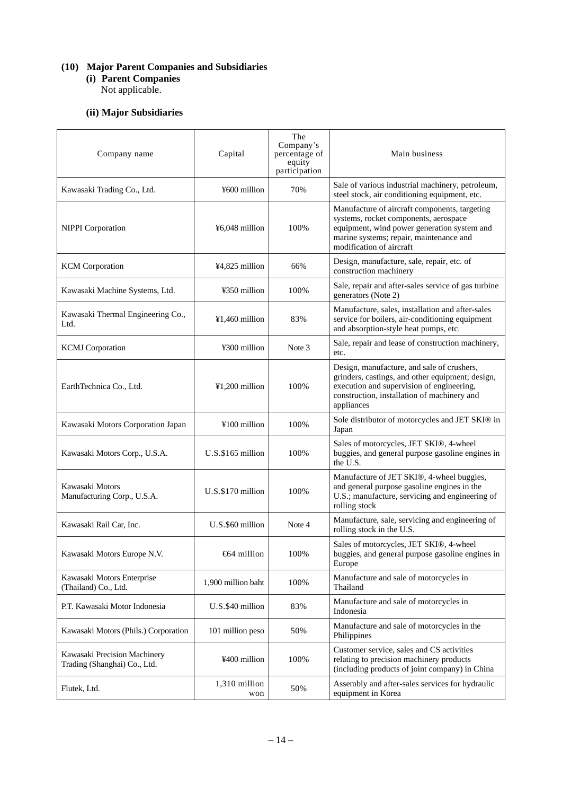## **(10) Major Parent Companies and Subsidiaries**

**(i) Parent Companies**  Not applicable.

## **(ii) Major Subsidiaries**

| Company name                                                 | Capital              | The<br>Company's<br>percentage of<br>equity<br>participation | Main business                                                                                                                                                                                                |
|--------------------------------------------------------------|----------------------|--------------------------------------------------------------|--------------------------------------------------------------------------------------------------------------------------------------------------------------------------------------------------------------|
| Kawasaki Trading Co., Ltd.                                   | ¥600 million         | 70%                                                          | Sale of various industrial machinery, petroleum,<br>steel stock, air conditioning equipment, etc.                                                                                                            |
| <b>NIPPI</b> Corporation                                     | ¥6,048 million       | 100%                                                         | Manufacture of aircraft components, targeting<br>systems, rocket components, aerospace<br>equipment, wind power generation system and<br>marine systems; repair, maintenance and<br>modification of aircraft |
| <b>KCM</b> Corporation                                       | ¥4,825 million       | 66%                                                          | Design, manufacture, sale, repair, etc. of<br>construction machinery                                                                                                                                         |
| Kawasaki Machine Systems, Ltd.                               | ¥350 million         | 100%                                                         | Sale, repair and after-sales service of gas turbine<br>generators (Note 2)                                                                                                                                   |
| Kawasaki Thermal Engineering Co.,<br>Ltd.                    | ¥1,460 million       | 83%                                                          | Manufacture, sales, installation and after-sales<br>service for boilers, air-conditioning equipment<br>and absorption-style heat pumps, etc.                                                                 |
| <b>KCMJ</b> Corporation                                      | ¥300 million         | Note 3                                                       | Sale, repair and lease of construction machinery,<br>etc.                                                                                                                                                    |
| EarthTechnica Co., Ltd.                                      | $¥1,200$ million     | 100%                                                         | Design, manufacture, and sale of crushers,<br>grinders, castings, and other equipment; design,<br>execution and supervision of engineering,<br>construction, installation of machinery and<br>appliances     |
| Kawasaki Motors Corporation Japan                            | ¥100 million         | 100%                                                         | Sole distributor of motorcycles and JET SKI® in<br>Japan                                                                                                                                                     |
| Kawasaki Motors Corp., U.S.A.                                | U.S.\$165 million    | 100%                                                         | Sales of motorcycles, JET SKI®, 4-wheel<br>buggies, and general purpose gasoline engines in<br>the U.S.                                                                                                      |
| Kawasaki Motors<br>Manufacturing Corp., U.S.A.               | U.S.\$170 million    | 100%                                                         | Manufacture of JET SKI®, 4-wheel buggies,<br>and general purpose gasoline engines in the<br>U.S.; manufacture, servicing and engineering of<br>rolling stock                                                 |
| Kawasaki Rail Car, Inc.                                      | U.S.\$60 million     | Note 4                                                       | Manufacture, sale, servicing and engineering of<br>rolling stock in the U.S.                                                                                                                                 |
| Kawasaki Motors Europe N.V.                                  | €64 million          | 100%                                                         | Sales of motorcycles, JET SKI®, 4-wheel<br>buggies, and general purpose gasoline engines in<br>Europe                                                                                                        |
| Kawasaki Motors Enterprise<br>(Thailand) Co., Ltd.           | 1,900 million baht   | 100%                                                         | Manufacture and sale of motorcycles in<br>Thailand                                                                                                                                                           |
| P.T. Kawasaki Motor Indonesia                                | U.S.\$40 million     | 83%                                                          | Manufacture and sale of motorcycles in<br>Indonesia                                                                                                                                                          |
| Kawasaki Motors (Phils.) Corporation                         | 101 million peso     | 50%                                                          | Manufacture and sale of motorcycles in the<br>Philippines                                                                                                                                                    |
| Kawasaki Precision Machinery<br>Trading (Shanghai) Co., Ltd. | ¥400 million         | 100%                                                         | Customer service, sales and CS activities<br>relating to precision machinery products<br>(including products of joint company) in China                                                                      |
| Flutek, Ltd.                                                 | 1,310 million<br>won | 50%                                                          | Assembly and after-sales services for hydraulic<br>equipment in Korea                                                                                                                                        |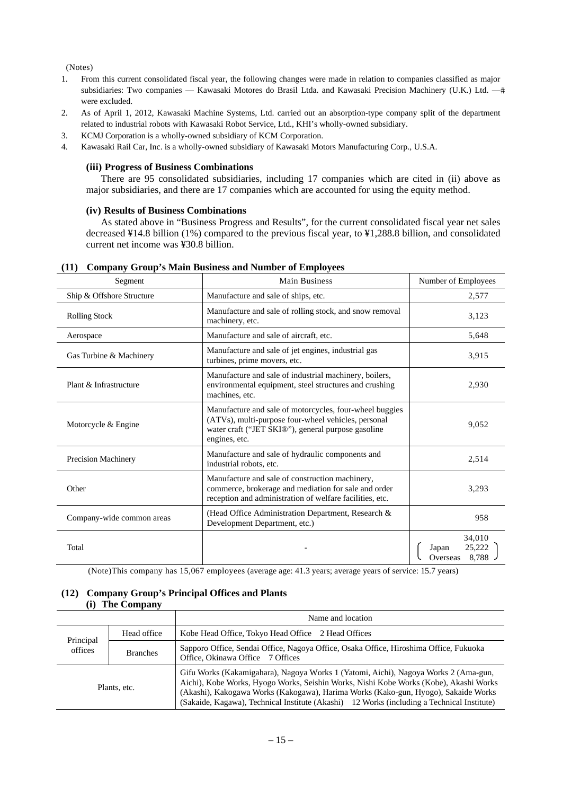(Notes)

- 1. From this current consolidated fiscal year, the following changes were made in relation to companies classified as major subsidiaries: Two companies — Kawasaki Motores do Brasil Ltda. and Kawasaki Precision Machinery (U.K.) Ltd. —# were excluded.
- 2. As of April 1, 2012, Kawasaki Machine Systems, Ltd. carried out an absorption-type company split of the department related to industrial robots with Kawasaki Robot Service, Ltd., KHI's wholly-owned subsidiary.
- 3. KCMJ Corporation is a wholly-owned subsidiary of KCM Corporation.
- 4. Kawasaki Rail Car, Inc. is a wholly-owned subsidiary of Kawasaki Motors Manufacturing Corp., U.S.A.

### **(iii) Progress of Business Combinations**

There are 95 consolidated subsidiaries, including 17 companies which are cited in (ii) above as major subsidiaries, and there are 17 companies which are accounted for using the equity method.

#### **(iv) Results of Business Combinations**

As stated above in "Business Progress and Results", for the current consolidated fiscal year net sales decreased ¥14.8 billion (1%) compared to the previous fiscal year, to ¥1,288.8 billion, and consolidated current net income was ¥30.8 billion.

| Segment                   | <b>Main Business</b>                                                                                                                                                                  | Number of Employees                            |
|---------------------------|---------------------------------------------------------------------------------------------------------------------------------------------------------------------------------------|------------------------------------------------|
| Ship & Offshore Structure | Manufacture and sale of ships, etc.                                                                                                                                                   | 2,577                                          |
| <b>Rolling Stock</b>      | Manufacture and sale of rolling stock, and snow removal<br>machinery, etc.                                                                                                            | 3,123                                          |
| Aerospace                 | Manufacture and sale of aircraft, etc.                                                                                                                                                | 5,648                                          |
| Gas Turbine & Machinery   | Manufacture and sale of jet engines, industrial gas<br>turbines, prime movers, etc.                                                                                                   | 3,915                                          |
| Plant & Infrastructure    | Manufacture and sale of industrial machinery, boilers,<br>environmental equipment, steel structures and crushing<br>machines, etc.                                                    | 2,930                                          |
| Motorcycle & Engine       | Manufacture and sale of motorcycles, four-wheel buggies<br>(ATVs), multi-purpose four-wheel vehicles, personal<br>water craft ("JET SKI®"), general purpose gasoline<br>engines, etc. | 9,052                                          |
| Precision Machinery       | Manufacture and sale of hydraulic components and<br>industrial robots, etc.                                                                                                           | 2,514                                          |
| Other                     | Manufacture and sale of construction machinery,<br>commerce, brokerage and mediation for sale and order<br>reception and administration of welfare facilities, etc.                   | 3,293                                          |
| Company-wide common areas | (Head Office Administration Department, Research &<br>Development Department, etc.)                                                                                                   | 958                                            |
| Total                     |                                                                                                                                                                                       | 34,010<br>25,222<br>Japan<br>8,788<br>Overseas |

## **(11) Company Group's Main Business and Number of Employees**

(Note)This company has 15,067 employees (average age: 41.3 years; average years of service: 15.7 years)

#### **(12) Company Group's Principal Offices and Plants (i) The Company**

|                                                        |  | Name and location                                                                                                                                                                                                                                                                                                                                                |  |  |
|--------------------------------------------------------|--|------------------------------------------------------------------------------------------------------------------------------------------------------------------------------------------------------------------------------------------------------------------------------------------------------------------------------------------------------------------|--|--|
| Head office<br>Principal<br>offices<br><b>Branches</b> |  | Kobe Head Office, Tokyo Head Office 2 Head Offices                                                                                                                                                                                                                                                                                                               |  |  |
|                                                        |  | Sapporo Office, Sendai Office, Nagoya Office, Osaka Office, Hiroshima Office, Fukuoka<br>Office, Okinawa Office 7 Offices                                                                                                                                                                                                                                        |  |  |
| Plants, etc.                                           |  | Gifu Works (Kakamigahara), Nagoya Works 1 (Yatomi, Aichi), Nagoya Works 2 (Ama-gun,<br>Aichi), Kobe Works, Hyogo Works, Seishin Works, Nishi Kobe Works (Kobe), Akashi Works<br>(Akashi), Kakogawa Works (Kakogawa), Harima Works (Kako-gun, Hyogo), Sakaide Works<br>(Sakaide, Kagawa), Technical Institute (Akashi) 12 Works (including a Technical Institute) |  |  |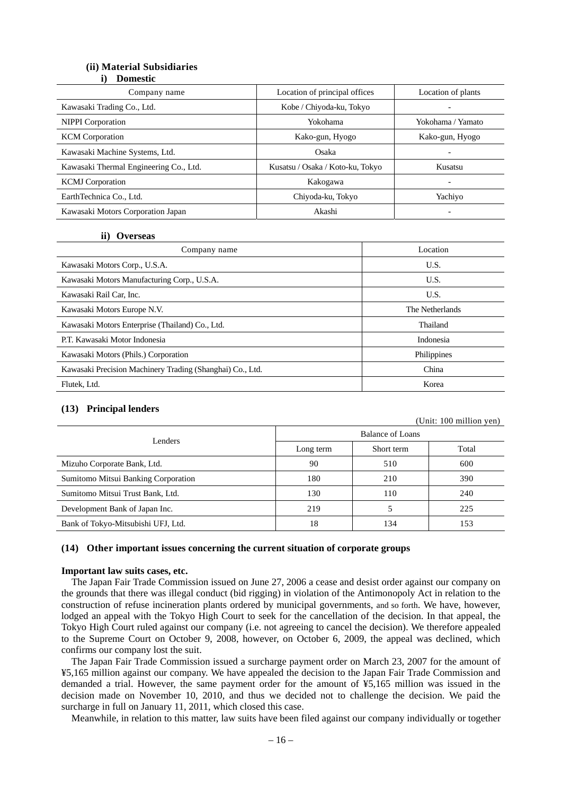## **(ii) Material Subsidiaries**

| i) | <b>Domestic</b> |  |
|----|-----------------|--|
|    |                 |  |

| Company name                           | Location of principal offices    | Location of plants       |
|----------------------------------------|----------------------------------|--------------------------|
| Kawasaki Trading Co., Ltd.             | Kobe / Chiyoda-ku, Tokyo         | $\overline{\phantom{0}}$ |
| <b>NIPPI</b> Corporation               | Yokohama                         | Yokohama / Yamato        |
| <b>KCM</b> Corporation                 | Kako-gun, Hyogo                  | Kako-gun, Hyogo          |
| Kawasaki Machine Systems, Ltd.         | Osaka                            | $\overline{\phantom{0}}$ |
| Kawasaki Thermal Engineering Co., Ltd. | Kusatsu / Osaka / Koto-ku, Tokyo | Kusatsu                  |
| <b>KCMJ</b> Corporation                | Kakogawa                         |                          |
| EarthTechnica Co., Ltd.                | Chiyoda-ku, Tokyo                | Yachiyo                  |
| Kawasaki Motors Corporation Japan      | Akashi                           | $\overline{\phantom{0}}$ |

#### **ii) Overseas**

| Company name                                              | Location        |
|-----------------------------------------------------------|-----------------|
| Kawasaki Motors Corp., U.S.A.                             | U.S.            |
| Kawasaki Motors Manufacturing Corp., U.S.A.               | U.S.            |
| Kawasaki Rail Car, Inc.                                   | U.S.            |
| Kawasaki Motors Europe N.V.                               | The Netherlands |
| Kawasaki Motors Enterprise (Thailand) Co., Ltd.           | Thailand        |
| P.T. Kawasaki Motor Indonesia                             | Indonesia       |
| Kawasaki Motors (Phils.) Corporation                      | Philippines     |
| Kawasaki Precision Machinery Trading (Shanghai) Co., Ltd. | China           |
| Flutek, Ltd.                                              | Korea           |

#### **(13) Principal lenders**

|                                     |           |                         | (Unit: 100 million yen) |
|-------------------------------------|-----------|-------------------------|-------------------------|
| Lenders                             |           | <b>Balance of Loans</b> |                         |
|                                     | Long term | Short term              | Total                   |
| Mizuho Corporate Bank, Ltd.         | 90        | 510                     | 600                     |
| Sumitomo Mitsui Banking Corporation | 180       | 210                     | 390                     |
| Sumitomo Mitsui Trust Bank, Ltd.    | 130       | 110                     | 240                     |
| Development Bank of Japan Inc.      | 219       |                         | 225                     |
| Bank of Tokyo-Mitsubishi UFJ, Ltd.  | 18        | 134                     | 153                     |

#### **(14) Other important issues concerning the current situation of corporate groups**

#### **Important law suits cases, etc.**

The Japan Fair Trade Commission issued on June 27, 2006 a cease and desist order against our company on the grounds that there was illegal conduct (bid rigging) in violation of the Antimonopoly Act in relation to the construction of refuse incineration plants ordered by municipal governments, and so forth. We have, however, lodged an appeal with the Tokyo High Court to seek for the cancellation of the decision. In that appeal, the Tokyo High Court ruled against our company (i.e. not agreeing to cancel the decision). We therefore appealed to the Supreme Court on October 9, 2008, however, on October 6, 2009, the appeal was declined, which confirms our company lost the suit.

The Japan Fair Trade Commission issued a surcharge payment order on March 23, 2007 for the amount of ¥5,165 million against our company. We have appealed the decision to the Japan Fair Trade Commission and demanded a trial. However, the same payment order for the amount of ¥5,165 million was issued in the decision made on November 10, 2010, and thus we decided not to challenge the decision. We paid the surcharge in full on January 11, 2011, which closed this case.

Meanwhile, in relation to this matter, law suits have been filed against our company individually or together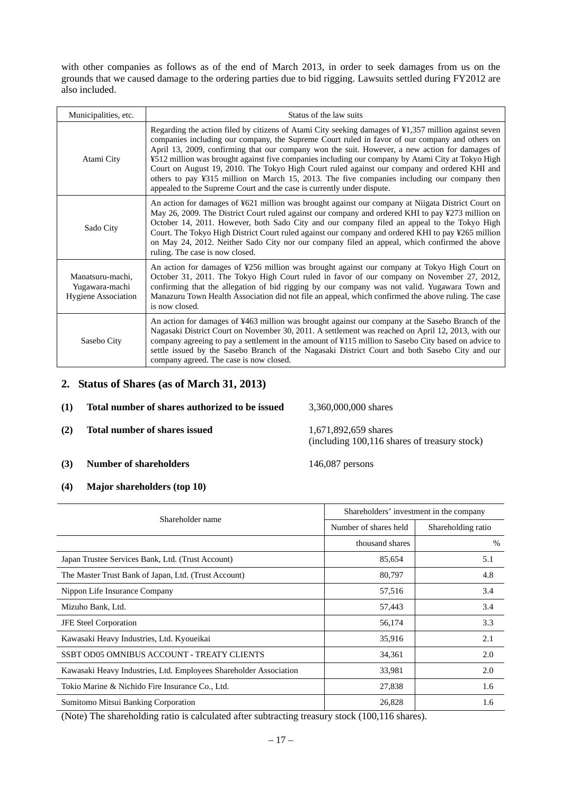with other companies as follows as of the end of March 2013, in order to seek damages from us on the grounds that we caused damage to the ordering parties due to bid rigging. Lawsuits settled during FY2012 are also included.

| Municipalities, etc.                                             | Status of the law suits                                                                                                                                                                                                                                                                                                                                                                                                                                                                                                                                                                                                                                                                |
|------------------------------------------------------------------|----------------------------------------------------------------------------------------------------------------------------------------------------------------------------------------------------------------------------------------------------------------------------------------------------------------------------------------------------------------------------------------------------------------------------------------------------------------------------------------------------------------------------------------------------------------------------------------------------------------------------------------------------------------------------------------|
| Atami City                                                       | Regarding the action filed by citizens of Atami City seeking damages of ¥1,357 million against seven<br>companies including our company, the Supreme Court ruled in favor of our company and others on<br>April 13, 2009, confirming that our company won the suit. However, a new action for damages of<br>¥512 million was brought against five companies including our company by Atami City at Tokyo High<br>Court on August 19, 2010. The Tokyo High Court ruled against our company and ordered KHI and<br>others to pay ¥315 million on March 15, 2013. The five companies including our company then<br>appealed to the Supreme Court and the case is currently under dispute. |
| Sado City                                                        | An action for damages of ¥621 million was brought against our company at Niigata District Court on<br>May 26, 2009. The District Court ruled against our company and ordered KHI to pay ¥273 million on<br>October 14, 2011. However, both Sado City and our company filed an appeal to the Tokyo High<br>Court. The Tokyo High District Court ruled against our company and ordered KHI to pay ¥265 million<br>on May 24, 2012. Neither Sado City nor our company filed an appeal, which confirmed the above<br>ruling. The case is now closed.                                                                                                                                       |
| Manatsuru-machi,<br>Yugawara-machi<br><b>Hygiene Association</b> | An action for damages of ¥256 million was brought against our company at Tokyo High Court on<br>October 31, 2011. The Tokyo High Court ruled in favor of our company on November 27, 2012,<br>confirming that the allegation of bid rigging by our company was not valid. Yugawara Town and<br>Manazuru Town Health Association did not file an appeal, which confirmed the above ruling. The case<br>is now closed.                                                                                                                                                                                                                                                                   |
| Sasebo City                                                      | An action for damages of ¥463 million was brought against our company at the Sasebo Branch of the<br>Nagasaki District Court on November 30, 2011. A settlement was reached on April 12, 2013, with our<br>company agreeing to pay a settlement in the amount of ¥115 million to Sasebo City based on advice to<br>settle issued by the Sasebo Branch of the Nagasaki District Court and both Sasebo City and our<br>company agreed. The case is now closed.                                                                                                                                                                                                                           |

## **2. Status of Shares (as of March 31, 2013)**

| (1) | Total number of shares authorized to be issued | 3,360,000,000 shares                                      |
|-----|------------------------------------------------|-----------------------------------------------------------|
| (2) | Total number of shares issued                  | 1,671,892,659 shares<br>(including 100, 116 shares of the |
| (3) | <b>Number of shareholders</b>                  | $146,087$ persons                                         |

**(4) Major shareholders (top 10)** 

| Shareholder name                                                  | Shareholders' investment in the company |                    |
|-------------------------------------------------------------------|-----------------------------------------|--------------------|
|                                                                   | Number of shares held                   | Shareholding ratio |
|                                                                   | thousand shares                         | $\%$               |
| Japan Trustee Services Bank, Ltd. (Trust Account)                 | 85,654                                  | 5.1                |
| The Master Trust Bank of Japan, Ltd. (Trust Account)              | 80,797                                  | 4.8                |
| Nippon Life Insurance Company                                     | 57,516                                  | 3.4                |
| Mizuho Bank, Ltd.                                                 | 57,443                                  | 3.4                |
| <b>JFE Steel Corporation</b>                                      | 56,174                                  | 3.3                |
| Kawasaki Heavy Industries, Ltd. Kyoueikai                         | 35,916                                  | 2.1                |
| SSBT OD05 OMNIBUS ACCOUNT - TREATY CLIENTS                        | 34,361                                  | 2.0                |
| Kawasaki Heavy Industries, Ltd. Employees Shareholder Association | 33,981                                  | 2.0                |
| Tokio Marine & Nichido Fire Insurance Co., Ltd.                   | 27,838                                  | 1.6                |
| Sumitomo Mitsui Banking Corporation                               | 26,828                                  | 1.6                |

(Note) The shareholding ratio is calculated after subtracting treasury stock (100,116 shares).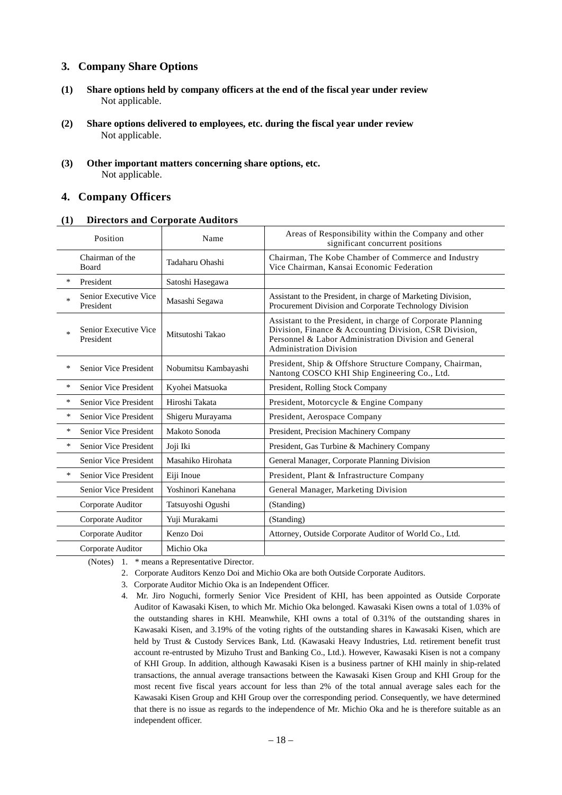## **3. Company Share Options**

- **(1) Share options held by company officers at the end of the fiscal year under review** Not applicable.
- **(2) Share options delivered to employees, etc. during the fiscal year under review** Not applicable.
- **(3) Other important matters concerning share options, etc.**  Not applicable.

## **4. Company Officers**

### **(1) Directors and Corporate Auditors**

|        | Position                           | Name                 | Areas of Responsibility within the Company and other<br>significant concurrent positions                                                                                                                         |
|--------|------------------------------------|----------------------|------------------------------------------------------------------------------------------------------------------------------------------------------------------------------------------------------------------|
|        | Chairman of the<br><b>Board</b>    | Tadaharu Ohashi      | Chairman, The Kobe Chamber of Commerce and Industry<br>Vice Chairman, Kansai Economic Federation                                                                                                                 |
| *      | President                          | Satoshi Hasegawa     |                                                                                                                                                                                                                  |
| $\ast$ | Senior Executive Vice<br>President | Masashi Segawa       | Assistant to the President, in charge of Marketing Division,<br>Procurement Division and Corporate Technology Division                                                                                           |
| $\ast$ | Senior Executive Vice<br>President | Mitsutoshi Takao     | Assistant to the President, in charge of Corporate Planning<br>Division, Finance & Accounting Division, CSR Division,<br>Personnel & Labor Administration Division and General<br><b>Administration Division</b> |
| *      | <b>Senior Vice President</b>       | Nobumitsu Kambayashi | President, Ship & Offshore Structure Company, Chairman,<br>Nantong COSCO KHI Ship Engineering Co., Ltd.                                                                                                          |
| *      | Senior Vice President              | Kyohei Matsuoka      | President, Rolling Stock Company                                                                                                                                                                                 |
| *      | Senior Vice President              | Hiroshi Takata       | President, Motorcycle & Engine Company                                                                                                                                                                           |
| *      | Senior Vice President              | Shigeru Murayama     | President, Aerospace Company                                                                                                                                                                                     |
| *      | Senior Vice President              | Makoto Sonoda        | President, Precision Machinery Company                                                                                                                                                                           |
| $\ast$ | Senior Vice President              | Joji Iki             | President, Gas Turbine & Machinery Company                                                                                                                                                                       |
|        | Senior Vice President              | Masahiko Hirohata    | General Manager, Corporate Planning Division                                                                                                                                                                     |
| $\ast$ | Senior Vice President              | Eiji Inoue           | President, Plant & Infrastructure Company                                                                                                                                                                        |
|        | Senior Vice President              | Yoshinori Kanehana   | General Manager, Marketing Division                                                                                                                                                                              |
|        | Corporate Auditor                  | Tatsuyoshi Ogushi    | (Standing)                                                                                                                                                                                                       |
|        | Corporate Auditor                  | Yuji Murakami        | (Standing)                                                                                                                                                                                                       |
|        | Corporate Auditor                  | Kenzo Doi            | Attorney, Outside Corporate Auditor of World Co., Ltd.                                                                                                                                                           |
|        | Corporate Auditor                  | Michio Oka           |                                                                                                                                                                                                                  |

(Notes) 1. \* means a Representative Director.

- 2. Corporate Auditors Kenzo Doi and Michio Oka are both Outside Corporate Auditors.
- 3. Corporate Auditor Michio Oka is an Independent Officer.
- 4. Mr. Jiro Noguchi, formerly Senior Vice President of KHI, has been appointed as Outside Corporate Auditor of Kawasaki Kisen, to which Mr. Michio Oka belonged. Kawasaki Kisen owns a total of 1.03% of the outstanding shares in KHI. Meanwhile, KHI owns a total of 0.31% of the outstanding shares in Kawasaki Kisen, and 3.19% of the voting rights of the outstanding shares in Kawasaki Kisen, which are held by Trust & Custody Services Bank, Ltd. (Kawasaki Heavy Industries, Ltd. retirement benefit trust account re-entrusted by Mizuho Trust and Banking Co., Ltd.). However, Kawasaki Kisen is not a company of KHI Group. In addition, although Kawasaki Kisen is a business partner of KHI mainly in ship-related transactions, the annual average transactions between the Kawasaki Kisen Group and KHI Group for the most recent five fiscal years account for less than 2% of the total annual average sales each for the Kawasaki Kisen Group and KHI Group over the corresponding period. Consequently, we have determined that there is no issue as regards to the independence of Mr. Michio Oka and he is therefore suitable as an independent officer.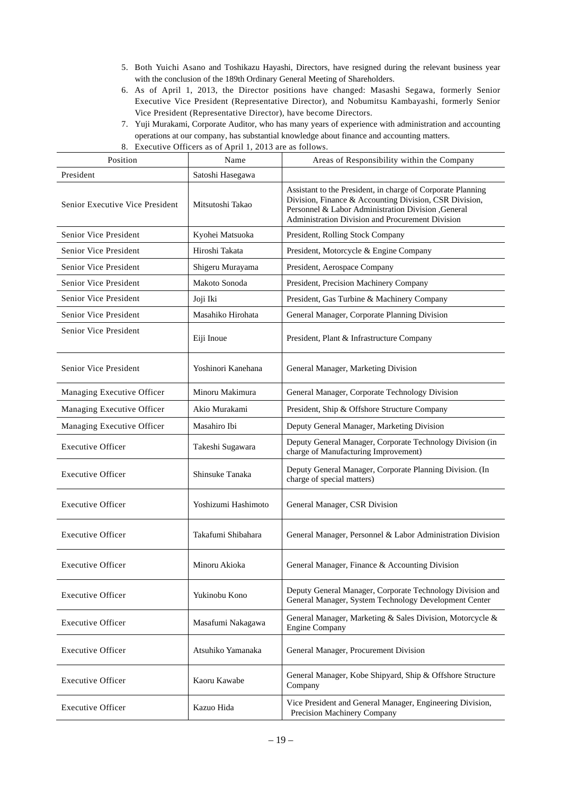- 5. Both Yuichi Asano and Toshikazu Hayashi, Directors, have resigned during the relevant business year with the conclusion of the 189th Ordinary General Meeting of Shareholders.
- 6. As of April 1, 2013, the Director positions have changed: Masashi Segawa, formerly Senior Executive Vice President (Representative Director), and Nobumitsu Kambayashi, formerly Senior Vice President (Representative Director), have become Directors.
- 7. Yuji Murakami, Corporate Auditor, who has many years of experience with administration and accounting operations at our company, has substantial knowledge about finance and accounting matters.

8. Executive Officers as of April 1, 2013 are as follows.

| Position                        | Name                | Areas of Responsibility within the Company                                                                                                                                                                                       |
|---------------------------------|---------------------|----------------------------------------------------------------------------------------------------------------------------------------------------------------------------------------------------------------------------------|
| President                       | Satoshi Hasegawa    |                                                                                                                                                                                                                                  |
| Senior Executive Vice President | Mitsutoshi Takao    | Assistant to the President, in charge of Corporate Planning<br>Division, Finance & Accounting Division, CSR Division,<br>Personnel & Labor Administration Division , General<br>Administration Division and Procurement Division |
| Senior Vice President           | Kyohei Matsuoka     | President, Rolling Stock Company                                                                                                                                                                                                 |
| Senior Vice President           | Hiroshi Takata      | President, Motorcycle & Engine Company                                                                                                                                                                                           |
| Senior Vice President           | Shigeru Murayama    | President, Aerospace Company                                                                                                                                                                                                     |
| Senior Vice President           | Makoto Sonoda       | President, Precision Machinery Company                                                                                                                                                                                           |
| Senior Vice President           | Joji Iki            | President, Gas Turbine & Machinery Company                                                                                                                                                                                       |
| Senior Vice President           | Masahiko Hirohata   | General Manager, Corporate Planning Division                                                                                                                                                                                     |
| Senior Vice President           | Eiji Inoue          | President, Plant & Infrastructure Company                                                                                                                                                                                        |
| Senior Vice President           | Yoshinori Kanehana  | General Manager, Marketing Division                                                                                                                                                                                              |
| Managing Executive Officer      | Minoru Makimura     | General Manager, Corporate Technology Division                                                                                                                                                                                   |
| Managing Executive Officer      | Akio Murakami       | President, Ship & Offshore Structure Company                                                                                                                                                                                     |
| Managing Executive Officer      | Masahiro Ibi        | Deputy General Manager, Marketing Division                                                                                                                                                                                       |
| <b>Executive Officer</b>        | Takeshi Sugawara    | Deputy General Manager, Corporate Technology Division (in<br>charge of Manufacturing Improvement)                                                                                                                                |
| <b>Executive Officer</b>        | Shinsuke Tanaka     | Deputy General Manager, Corporate Planning Division. (In<br>charge of special matters)                                                                                                                                           |
| <b>Executive Officer</b>        | Yoshizumi Hashimoto | General Manager, CSR Division                                                                                                                                                                                                    |
| <b>Executive Officer</b>        | Takafumi Shibahara  | General Manager, Personnel & Labor Administration Division                                                                                                                                                                       |
| <b>Executive Officer</b>        | Minoru Akioka       | General Manager, Finance & Accounting Division                                                                                                                                                                                   |
| <b>Executive Officer</b>        | Yukinobu Kono       | Deputy General Manager, Corporate Technology Division and<br>General Manager, System Technology Development Center                                                                                                               |
| <b>Executive Officer</b>        | Masafumi Nakagawa   | General Manager, Marketing & Sales Division, Motorcycle &<br><b>Engine Company</b>                                                                                                                                               |
| <b>Executive Officer</b>        | Atsuhiko Yamanaka   | General Manager, Procurement Division                                                                                                                                                                                            |
| <b>Executive Officer</b>        | Kaoru Kawabe        | General Manager, Kobe Shipyard, Ship & Offshore Structure<br>Company                                                                                                                                                             |
| <b>Executive Officer</b>        | Kazuo Hida          | Vice President and General Manager, Engineering Division,<br>Precision Machinery Company                                                                                                                                         |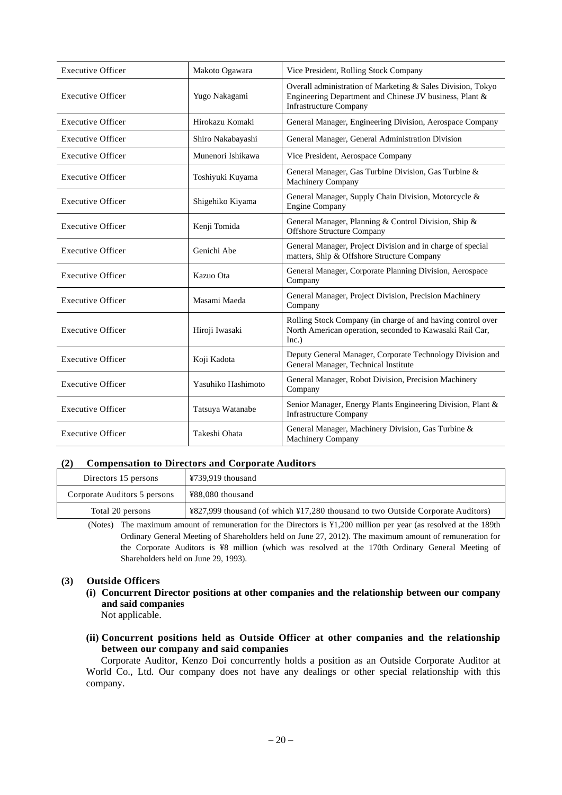| <b>Executive Officer</b> | Makoto Ogawara     | Vice President, Rolling Stock Company                                                                                                                   |
|--------------------------|--------------------|---------------------------------------------------------------------------------------------------------------------------------------------------------|
| <b>Executive Officer</b> | Yugo Nakagami      | Overall administration of Marketing & Sales Division, Tokyo<br>Engineering Department and Chinese JV business, Plant &<br><b>Infrastructure Company</b> |
| <b>Executive Officer</b> | Hirokazu Komaki    | General Manager, Engineering Division, Aerospace Company                                                                                                |
| <b>Executive Officer</b> | Shiro Nakabayashi  | General Manager, General Administration Division                                                                                                        |
| <b>Executive Officer</b> | Munenori Ishikawa  | Vice President, Aerospace Company                                                                                                                       |
| <b>Executive Officer</b> | Toshiyuki Kuyama   | General Manager, Gas Turbine Division, Gas Turbine &<br>Machinery Company                                                                               |
| <b>Executive Officer</b> | Shigehiko Kiyama   | General Manager, Supply Chain Division, Motorcycle &<br><b>Engine Company</b>                                                                           |
| <b>Executive Officer</b> | Kenji Tomida       | General Manager, Planning & Control Division, Ship &<br><b>Offshore Structure Company</b>                                                               |
| <b>Executive Officer</b> | Genichi Abe        | General Manager, Project Division and in charge of special<br>matters, Ship & Offshore Structure Company                                                |
| <b>Executive Officer</b> | Kazuo Ota          | General Manager, Corporate Planning Division, Aerospace<br>Company                                                                                      |
| <b>Executive Officer</b> | Masami Maeda       | General Manager, Project Division, Precision Machinery<br>Company                                                                                       |
| <b>Executive Officer</b> | Hiroji Iwasaki     | Rolling Stock Company (in charge of and having control over<br>North American operation, seconded to Kawasaki Rail Car,<br>Inc.)                        |
| <b>Executive Officer</b> | Koji Kadota        | Deputy General Manager, Corporate Technology Division and<br>General Manager, Technical Institute                                                       |
| <b>Executive Officer</b> | Yasuhiko Hashimoto | General Manager, Robot Division, Precision Machinery<br>Company                                                                                         |
| <b>Executive Officer</b> | Tatsuya Watanabe   | Senior Manager, Energy Plants Engineering Division, Plant &<br><b>Infrastructure Company</b>                                                            |
| <b>Executive Officer</b> | Takeshi Ohata      | General Manager, Machinery Division, Gas Turbine &<br><b>Machinery Company</b>                                                                          |

## **(2) Compensation to Directors and Corporate Auditors**

| Directors 15 persons         | ¥739,919 thousand                                                               |
|------------------------------|---------------------------------------------------------------------------------|
| Corporate Auditors 5 persons | ¥88,080 thousand                                                                |
| Total 20 persons             | ¥827,999 thousand (of which ¥17,280 thousand to two Outside Corporate Auditors) |

(Notes) The maximum amount of remuneration for the Directors is ¥1,200 million per year (as resolved at the 189th Ordinary General Meeting of Shareholders held on June 27, 2012). The maximum amount of remuneration for the Corporate Auditors is ¥8 million (which was resolved at the 170th Ordinary General Meeting of Shareholders held on June 29, 1993).

#### **(3) Outside Officers**

**(i) Concurrent Director positions at other companies and the relationship between our company and said companies** 

Not applicable.

**(ii) Concurrent positions held as Outside Officer at other companies and the relationship between our company and said companies** 

Corporate Auditor, Kenzo Doi concurrently holds a position as an Outside Corporate Auditor at World Co., Ltd. Our company does not have any dealings or other special relationship with this company.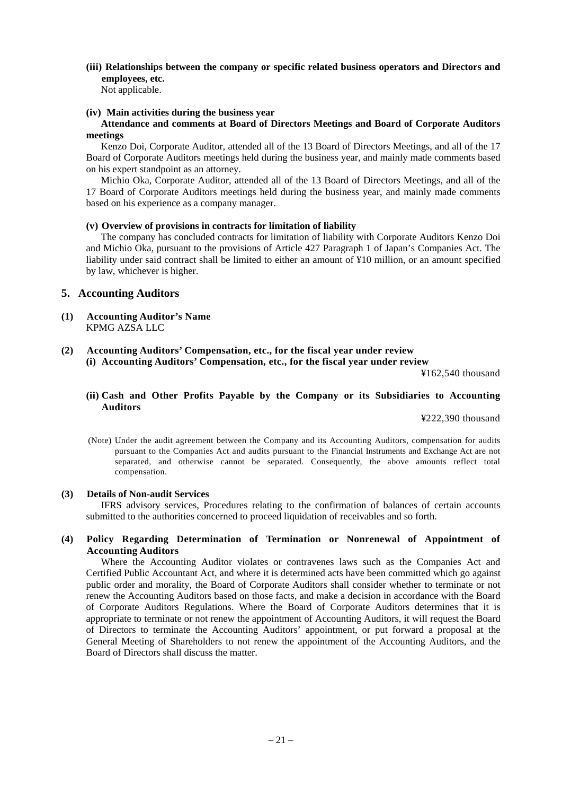## **(iii) Relationships between the company or specific related business operators and Directors and employees, etc.**

Not applicable.

### **(iv) Main activities during the business year**

### **Attendance and comments at Board of Directors Meetings and Board of Corporate Auditors meetings**

Kenzo Doi, Corporate Auditor, attended all of the 13 Board of Directors Meetings, and all of the 17 Board of Corporate Auditors meetings held during the business year, and mainly made comments based on his expert standpoint as an attorney.

Michio Oka, Corporate Auditor, attended all of the 13 Board of Directors Meetings, and all of the 17 Board of Corporate Auditors meetings held during the business year, and mainly made comments based on his experience as a company manager.

## **(v) Overview of provisions in contracts for limitation of liability**

The company has concluded contracts for limitation of liability with Corporate Auditors Kenzo Doi and Michio Oka, pursuant to the provisions of Article 427 Paragraph 1 of Japan's Companies Act. The liability under said contract shall be limited to either an amount of ¥10 million, or an amount specified by law, whichever is higher.

## **5. Accounting Auditors**

- **(1) Accounting Auditor's Name**  KPMG AZSA LLC
- **(2) Accounting Auditors' Compensation, etc., for the fiscal year under review (i) Accounting Auditors' Compensation, etc., for the fiscal year under review**

¥162,540 thousand

**(ii) Cash and Other Profits Payable by the Company or its Subsidiaries to Accounting Auditors** 

¥222,390 thousand

(Note) Under the audit agreement between the Company and its Accounting Auditors, compensation for audits pursuant to the Companies Act and audits pursuant to the Financial Instruments and Exchange Act are not separated, and otherwise cannot be separated. Consequently, the above amounts reflect total compensation.

## **(3) Details of Non-audit Services**

IFRS advisory services, Procedures relating to the confirmation of balances of certain accounts submitted to the authorities concerned to proceed liquidation of receivables and so forth.

## **(4) Policy Regarding Determination of Termination or Nonrenewal of Appointment of Accounting Auditors**

Where the Accounting Auditor violates or contravenes laws such as the Companies Act and Certified Public Accountant Act, and where it is determined acts have been committed which go against public order and morality, the Board of Corporate Auditors shall consider whether to terminate or not renew the Accounting Auditors based on those facts, and make a decision in accordance with the Board of Corporate Auditors Regulations. Where the Board of Corporate Auditors determines that it is appropriate to terminate or not renew the appointment of Accounting Auditors, it will request the Board of Directors to terminate the Accounting Auditors' appointment, or put forward a proposal at the General Meeting of Shareholders to not renew the appointment of the Accounting Auditors, and the Board of Directors shall discuss the matter.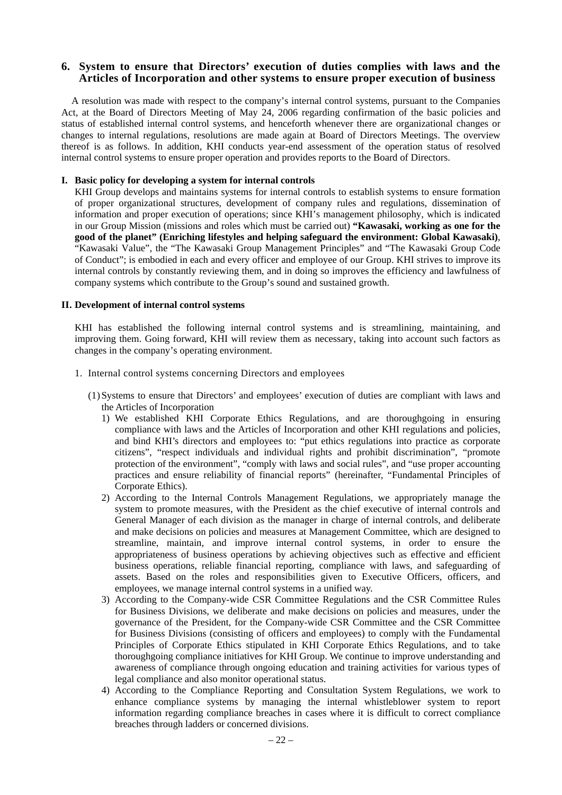## **6. System to ensure that Directors' execution of duties complies with laws and the Articles of Incorporation and other systems to ensure proper execution of business**

A resolution was made with respect to the company's internal control systems, pursuant to the Companies Act, at the Board of Directors Meeting of May 24, 2006 regarding confirmation of the basic policies and status of established internal control systems, and henceforth whenever there are organizational changes or changes to internal regulations, resolutions are made again at Board of Directors Meetings. The overview thereof is as follows. In addition, KHI conducts year-end assessment of the operation status of resolved internal control systems to ensure proper operation and provides reports to the Board of Directors.

#### **I. Basic policy for developing a system for internal controls**

KHI Group develops and maintains systems for internal controls to establish systems to ensure formation of proper organizational structures, development of company rules and regulations, dissemination of information and proper execution of operations; since KHI's management philosophy, which is indicated in our Group Mission (missions and roles which must be carried out) **"Kawasaki, working as one for the good of the planet" (Enriching lifestyles and helping safeguard the environment: Global Kawasaki)**, "Kawasaki Value", the "The Kawasaki Group Management Principles" and "The Kawasaki Group Code of Conduct"; is embodied in each and every officer and employee of our Group. KHI strives to improve its internal controls by constantly reviewing them, and in doing so improves the efficiency and lawfulness of company systems which contribute to the Group's sound and sustained growth.

#### **II. Development of internal control systems**

KHI has established the following internal control systems and is streamlining, maintaining, and improving them. Going forward, KHI will review them as necessary, taking into account such factors as changes in the company's operating environment.

- 1. Internal control systems concerning Directors and employees
	- (1) Systems to ensure that Directors' and employees' execution of duties are compliant with laws and the Articles of Incorporation
		- 1) We established KHI Corporate Ethics Regulations, and are thoroughgoing in ensuring compliance with laws and the Articles of Incorporation and other KHI regulations and policies, and bind KHI's directors and employees to: "put ethics regulations into practice as corporate citizens", "respect individuals and individual rights and prohibit discrimination", "promote protection of the environment", "comply with laws and social rules", and "use proper accounting practices and ensure reliability of financial reports" (hereinafter, "Fundamental Principles of Corporate Ethics).
		- 2) According to the Internal Controls Management Regulations, we appropriately manage the system to promote measures, with the President as the chief executive of internal controls and General Manager of each division as the manager in charge of internal controls, and deliberate and make decisions on policies and measures at Management Committee, which are designed to streamline, maintain, and improve internal control systems, in order to ensure the appropriateness of business operations by achieving objectives such as effective and efficient business operations, reliable financial reporting, compliance with laws, and safeguarding of assets. Based on the roles and responsibilities given to Executive Officers, officers, and employees, we manage internal control systems in a unified way.
		- 3) According to the Company-wide CSR Committee Regulations and the CSR Committee Rules for Business Divisions, we deliberate and make decisions on policies and measures, under the governance of the President, for the Company-wide CSR Committee and the CSR Committee for Business Divisions (consisting of officers and employees) to comply with the Fundamental Principles of Corporate Ethics stipulated in KHI Corporate Ethics Regulations, and to take thoroughgoing compliance initiatives for KHI Group. We continue to improve understanding and awareness of compliance through ongoing education and training activities for various types of legal compliance and also monitor operational status.
		- 4) According to the Compliance Reporting and Consultation System Regulations, we work to enhance compliance systems by managing the internal whistleblower system to report information regarding compliance breaches in cases where it is difficult to correct compliance breaches through ladders or concerned divisions.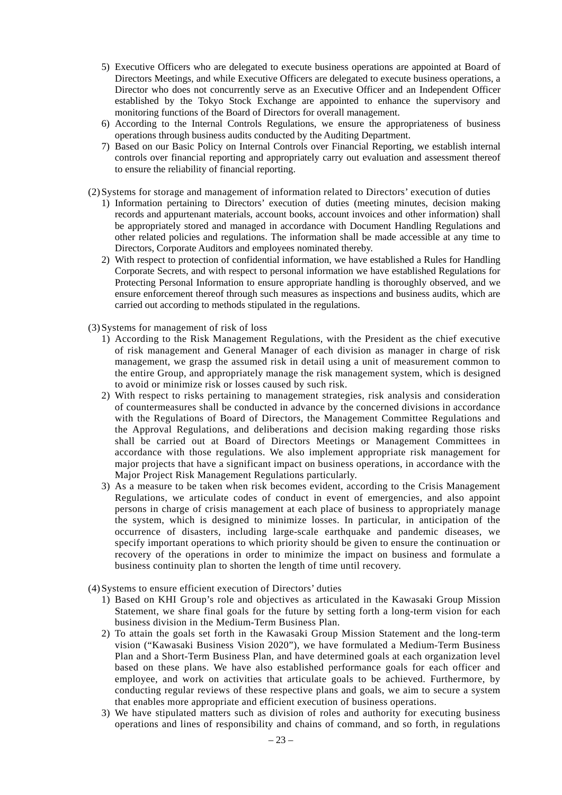- 5) Executive Officers who are delegated to execute business operations are appointed at Board of Directors Meetings, and while Executive Officers are delegated to execute business operations, a Director who does not concurrently serve as an Executive Officer and an Independent Officer established by the Tokyo Stock Exchange are appointed to enhance the supervisory and monitoring functions of the Board of Directors for overall management.
- 6) According to the Internal Controls Regulations, we ensure the appropriateness of business operations through business audits conducted by the Auditing Department.
- 7) Based on our Basic Policy on Internal Controls over Financial Reporting, we establish internal controls over financial reporting and appropriately carry out evaluation and assessment thereof to ensure the reliability of financial reporting.
- (2) Systems for storage and management of information related to Directors' execution of duties
	- 1) Information pertaining to Directors' execution of duties (meeting minutes, decision making records and appurtenant materials, account books, account invoices and other information) shall be appropriately stored and managed in accordance with Document Handling Regulations and other related policies and regulations. The information shall be made accessible at any time to Directors, Corporate Auditors and employees nominated thereby.
	- 2) With respect to protection of confidential information, we have established a Rules for Handling Corporate Secrets, and with respect to personal information we have established Regulations for Protecting Personal Information to ensure appropriate handling is thoroughly observed, and we ensure enforcement thereof through such measures as inspections and business audits, which are carried out according to methods stipulated in the regulations.
- (3) Systems for management of risk of loss
	- 1) According to the Risk Management Regulations, with the President as the chief executive of risk management and General Manager of each division as manager in charge of risk management, we grasp the assumed risk in detail using a unit of measurement common to the entire Group, and appropriately manage the risk management system, which is designed to avoid or minimize risk or losses caused by such risk.
	- 2) With respect to risks pertaining to management strategies, risk analysis and consideration of countermeasures shall be conducted in advance by the concerned divisions in accordance with the Regulations of Board of Directors, the Management Committee Regulations and the Approval Regulations, and deliberations and decision making regarding those risks shall be carried out at Board of Directors Meetings or Management Committees in accordance with those regulations. We also implement appropriate risk management for major projects that have a significant impact on business operations, in accordance with the Major Project Risk Management Regulations particularly.
	- 3) As a measure to be taken when risk becomes evident, according to the Crisis Management Regulations, we articulate codes of conduct in event of emergencies, and also appoint persons in charge of crisis management at each place of business to appropriately manage the system, which is designed to minimize losses. In particular, in anticipation of the occurrence of disasters, including large-scale earthquake and pandemic diseases, we specify important operations to which priority should be given to ensure the continuation or recovery of the operations in order to minimize the impact on business and formulate a business continuity plan to shorten the length of time until recovery.
- (4) Systems to ensure efficient execution of Directors' duties
	- 1) Based on KHI Group's role and objectives as articulated in the Kawasaki Group Mission Statement, we share final goals for the future by setting forth a long-term vision for each business division in the Medium-Term Business Plan.
	- 2) To attain the goals set forth in the Kawasaki Group Mission Statement and the long-term vision ("Kawasaki Business Vision 2020"), we have formulated a Medium-Term Business Plan and a Short-Term Business Plan, and have determined goals at each organization level based on these plans. We have also established performance goals for each officer and employee, and work on activities that articulate goals to be achieved. Furthermore, by conducting regular reviews of these respective plans and goals, we aim to secure a system that enables more appropriate and efficient execution of business operations.
	- 3) We have stipulated matters such as division of roles and authority for executing business operations and lines of responsibility and chains of command, and so forth, in regulations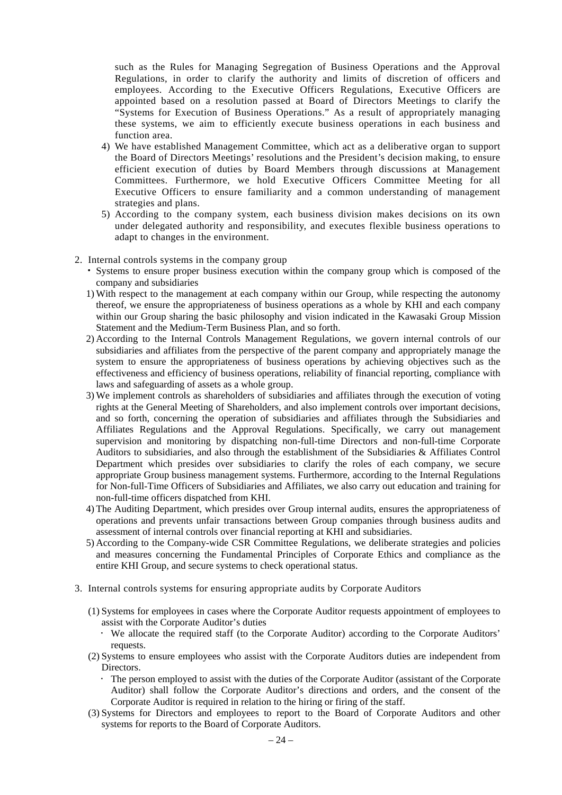such as the Rules for Managing Segregation of Business Operations and the Approval Regulations, in order to clarify the authority and limits of discretion of officers and employees. According to the Executive Officers Regulations, Executive Officers are appointed based on a resolution passed at Board of Directors Meetings to clarify the "Systems for Execution of Business Operations." As a result of appropriately managing these systems, we aim to efficiently execute business operations in each business and function area.

- 4) We have established Management Committee, which act as a deliberative organ to support the Board of Directors Meetings' resolutions and the President's decision making, to ensure efficient execution of duties by Board Members through discussions at Management Committees. Furthermore, we hold Executive Officers Committee Meeting for all Executive Officers to ensure familiarity and a common understanding of management strategies and plans.
- 5) According to the company system, each business division makes decisions on its own under delegated authority and responsibility, and executes flexible business operations to adapt to changes in the environment.
- 2. Internal controls systems in the company group
	- Systems to ensure proper business execution within the company group which is composed of the company and subsidiaries
	- 1) With respect to the management at each company within our Group, while respecting the autonomy thereof, we ensure the appropriateness of business operations as a whole by KHI and each company within our Group sharing the basic philosophy and vision indicated in the Kawasaki Group Mission Statement and the Medium-Term Business Plan, and so forth.
	- 2) According to the Internal Controls Management Regulations, we govern internal controls of our subsidiaries and affiliates from the perspective of the parent company and appropriately manage the system to ensure the appropriateness of business operations by achieving objectives such as the effectiveness and efficiency of business operations, reliability of financial reporting, compliance with laws and safeguarding of assets as a whole group.
	- 3) We implement controls as shareholders of subsidiaries and affiliates through the execution of voting rights at the General Meeting of Shareholders, and also implement controls over important decisions, and so forth, concerning the operation of subsidiaries and affiliates through the Subsidiaries and Affiliates Regulations and the Approval Regulations. Specifically, we carry out management supervision and monitoring by dispatching non-full-time Directors and non-full-time Corporate Auditors to subsidiaries, and also through the establishment of the Subsidiaries & Affiliates Control Department which presides over subsidiaries to clarify the roles of each company, we secure appropriate Group business management systems. Furthermore, according to the Internal Regulations for Non-full-Time Officers of Subsidiaries and Affiliates, we also carry out education and training for non-full-time officers dispatched from KHI.
	- 4) The Auditing Department, which presides over Group internal audits, ensures the appropriateness of operations and prevents unfair transactions between Group companies through business audits and assessment of internal controls over financial reporting at KHI and subsidiaries.
	- 5) According to the Company-wide CSR Committee Regulations, we deliberate strategies and policies and measures concerning the Fundamental Principles of Corporate Ethics and compliance as the entire KHI Group, and secure systems to check operational status.
- 3. Internal controls systems for ensuring appropriate audits by Corporate Auditors
	- (1) Systems for employees in cases where the Corporate Auditor requests appointment of employees to assist with the Corporate Auditor's duties
		- We allocate the required staff (to the Corporate Auditor) according to the Corporate Auditors' requests.
	- (2) Systems to ensure employees who assist with the Corporate Auditors duties are independent from Directors.
		- The person employed to assist with the duties of the Corporate Auditor (assistant of the Corporate Auditor) shall follow the Corporate Auditor's directions and orders, and the consent of the Corporate Auditor is required in relation to the hiring or firing of the staff.
	- (3) Systems for Directors and employees to report to the Board of Corporate Auditors and other systems for reports to the Board of Corporate Auditors.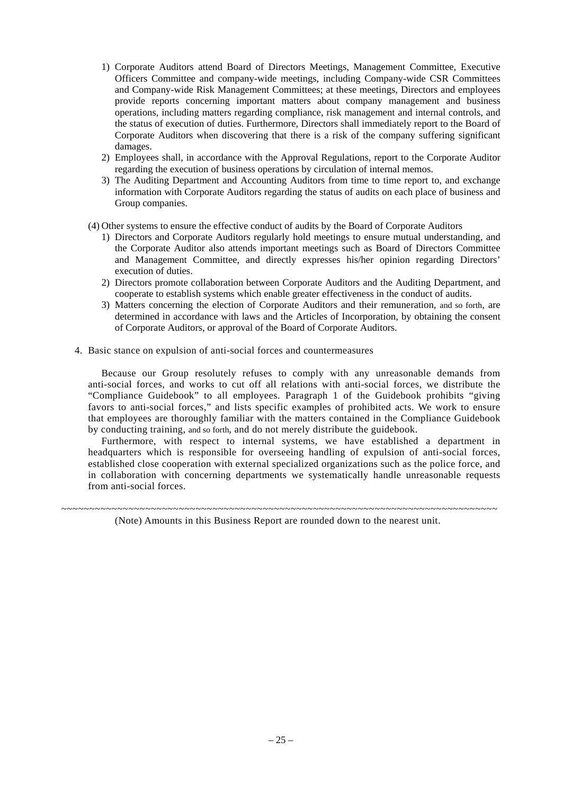- 1) Corporate Auditors attend Board of Directors Meetings, Management Committee, Executive Officers Committee and company-wide meetings, including Company-wide CSR Committees and Company-wide Risk Management Committees; at these meetings, Directors and employees provide reports concerning important matters about company management and business operations, including matters regarding compliance, risk management and internal controls, and the status of execution of duties. Furthermore, Directors shall immediately report to the Board of Corporate Auditors when discovering that there is a risk of the company suffering significant damages.
- 2) Employees shall, in accordance with the Approval Regulations, report to the Corporate Auditor regarding the execution of business operations by circulation of internal memos.
- 3) The Auditing Department and Accounting Auditors from time to time report to, and exchange information with Corporate Auditors regarding the status of audits on each place of business and Group companies.
- (4) Other systems to ensure the effective conduct of audits by the Board of Corporate Auditors
	- 1) Directors and Corporate Auditors regularly hold meetings to ensure mutual understanding, and the Corporate Auditor also attends important meetings such as Board of Directors Committee and Management Committee, and directly expresses his/her opinion regarding Directors' execution of duties.
	- 2) Directors promote collaboration between Corporate Auditors and the Auditing Department, and cooperate to establish systems which enable greater effectiveness in the conduct of audits.
	- 3) Matters concerning the election of Corporate Auditors and their remuneration, and so forth, are determined in accordance with laws and the Articles of Incorporation, by obtaining the consent of Corporate Auditors, or approval of the Board of Corporate Auditors.
- 4. Basic stance on expulsion of anti-social forces and countermeasures

Because our Group resolutely refuses to comply with any unreasonable demands from anti-social forces, and works to cut off all relations with anti-social forces, we distribute the "Compliance Guidebook" to all employees. Paragraph 1 of the Guidebook prohibits "giving favors to anti-social forces," and lists specific examples of prohibited acts. We work to ensure that employees are thoroughly familiar with the matters contained in the Compliance Guidebook by conducting training, and so forth, and do not merely distribute the guidebook.

Furthermore, with respect to internal systems, we have established a department in headquarters which is responsible for overseeing handling of expulsion of anti-social forces, established close cooperation with external specialized organizations such as the police force, and in collaboration with concerning departments we systematically handle unreasonable requests from anti-social forces.

~~~~~~~~~~~~~~~~~~~~~~~~~~~~~~~~~~~~~~~~~~~~~~~~~~~~~~~~~~~~~~~~~~~~~~~~~~~~~~ (Note) Amounts in this Business Report are rounded down to the nearest unit.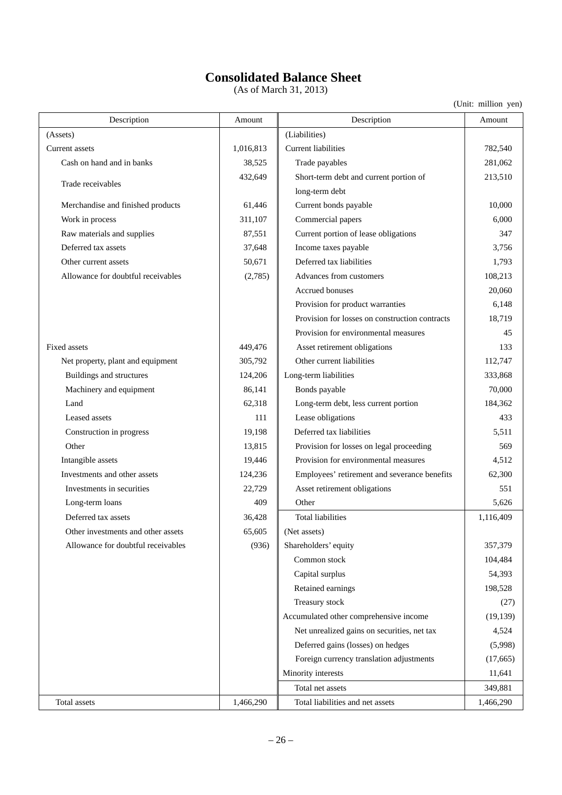# **Consolidated Balance Sheet**

 $(As of March 31, 2013)$ 

| Description                        | Amount    | Description                                    | Amount    |
|------------------------------------|-----------|------------------------------------------------|-----------|
| (Assets)                           |           | (Liabilities)                                  |           |
| Current assets                     | 1,016,813 | <b>Current liabilities</b>                     | 782,540   |
| Cash on hand and in banks          | 38,525    | Trade payables                                 | 281,062   |
|                                    | 432,649   | Short-term debt and current portion of         | 213,510   |
| Trade receivables                  |           | long-term debt                                 |           |
| Merchandise and finished products  | 61,446    | Current bonds payable                          | 10,000    |
| Work in process                    | 311,107   | Commercial papers                              | 6,000     |
| Raw materials and supplies         | 87,551    | Current portion of lease obligations           | 347       |
| Deferred tax assets                | 37,648    | Income taxes payable                           | 3,756     |
| Other current assets               | 50,671    | Deferred tax liabilities                       | 1,793     |
| Allowance for doubtful receivables | (2,785)   | Advances from customers                        | 108,213   |
|                                    |           | Accrued bonuses                                | 20,060    |
|                                    |           | Provision for product warranties               | 6,148     |
|                                    |           | Provision for losses on construction contracts | 18,719    |
|                                    |           | Provision for environmental measures           | 45        |
| Fixed assets                       | 449,476   | Asset retirement obligations                   | 133       |
| Net property, plant and equipment  | 305,792   | Other current liabilities                      | 112,747   |
| Buildings and structures           | 124,206   | Long-term liabilities                          | 333,868   |
| Machinery and equipment            | 86,141    | Bonds payable                                  | 70,000    |
| Land                               | 62,318    | Long-term debt, less current portion           | 184,362   |
| Leased assets                      | 111       | Lease obligations                              | 433       |
| Construction in progress           | 19,198    | Deferred tax liabilities                       | 5,511     |
| Other                              | 13,815    | Provision for losses on legal proceeding       | 569       |
| Intangible assets                  | 19,446    | Provision for environmental measures           | 4,512     |
| Investments and other assets       | 124,236   | Employees' retirement and severance benefits   | 62,300    |
| Investments in securities          | 22,729    | Asset retirement obligations                   | 551       |
| Long-term loans                    | 409       | Other                                          | 5,626     |
| Deferred tax assets                | 36,428    | <b>Total liabilities</b>                       | 1,116,409 |
| Other investments and other assets | 65,605    | (Net assets)                                   |           |
| Allowance for doubtful receivables | (936)     | Shareholders' equity                           | 357,379   |
|                                    |           | Common stock                                   | 104,484   |
|                                    |           | Capital surplus                                | 54,393    |
|                                    |           | Retained earnings                              | 198,528   |
|                                    |           | Treasury stock                                 | (27)      |
|                                    |           | Accumulated other comprehensive income         | (19, 139) |
|                                    |           | Net unrealized gains on securities, net tax    | 4,524     |
|                                    |           | Deferred gains (losses) on hedges              | (5,998)   |
|                                    |           | Foreign currency translation adjustments       | (17, 665) |
|                                    |           | Minority interests                             | 11,641    |
|                                    |           | Total net assets                               | 349,881   |
| Total assets                       | 1,466,290 | Total liabilities and net assets               | 1,466,290 |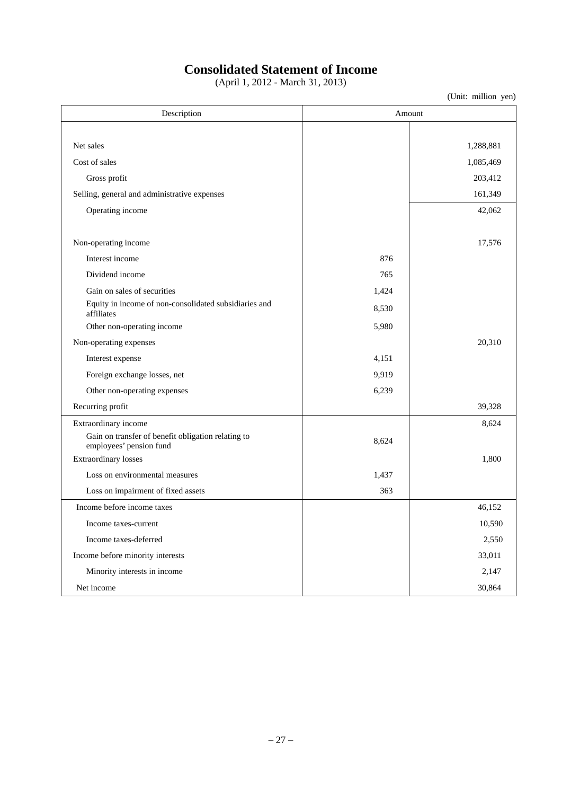## **Consolidated Statement of Income**

(April 1, 2012 - March 31, 2013)

| Description                                                                   | Amount |           |  |
|-------------------------------------------------------------------------------|--------|-----------|--|
|                                                                               |        |           |  |
| Net sales                                                                     |        | 1,288,881 |  |
| Cost of sales                                                                 |        | 1,085,469 |  |
| Gross profit                                                                  |        | 203,412   |  |
| Selling, general and administrative expenses                                  |        | 161,349   |  |
| Operating income                                                              |        | 42,062    |  |
| Non-operating income                                                          |        | 17,576    |  |
| Interest income                                                               | 876    |           |  |
| Dividend income                                                               | 765    |           |  |
| Gain on sales of securities                                                   | 1,424  |           |  |
| Equity in income of non-consolidated subsidiaries and<br>affiliates           | 8,530  |           |  |
| Other non-operating income                                                    | 5,980  |           |  |
| Non-operating expenses                                                        |        | 20,310    |  |
| Interest expense                                                              | 4,151  |           |  |
| Foreign exchange losses, net                                                  | 9,919  |           |  |
| Other non-operating expenses                                                  | 6,239  |           |  |
| Recurring profit                                                              |        | 39,328    |  |
| Extraordinary income                                                          |        | 8,624     |  |
| Gain on transfer of benefit obligation relating to<br>employees' pension fund | 8,624  |           |  |
| <b>Extraordinary losses</b>                                                   |        | 1,800     |  |
| Loss on environmental measures                                                | 1,437  |           |  |
| Loss on impairment of fixed assets                                            | 363    |           |  |
| Income before income taxes                                                    |        | 46,152    |  |
| Income taxes-current                                                          |        | 10,590    |  |
| Income taxes-deferred                                                         |        | 2,550     |  |
| Income before minority interests                                              |        | 33,011    |  |
| Minority interests in income                                                  |        | 2,147     |  |
| Net income                                                                    |        | 30,864    |  |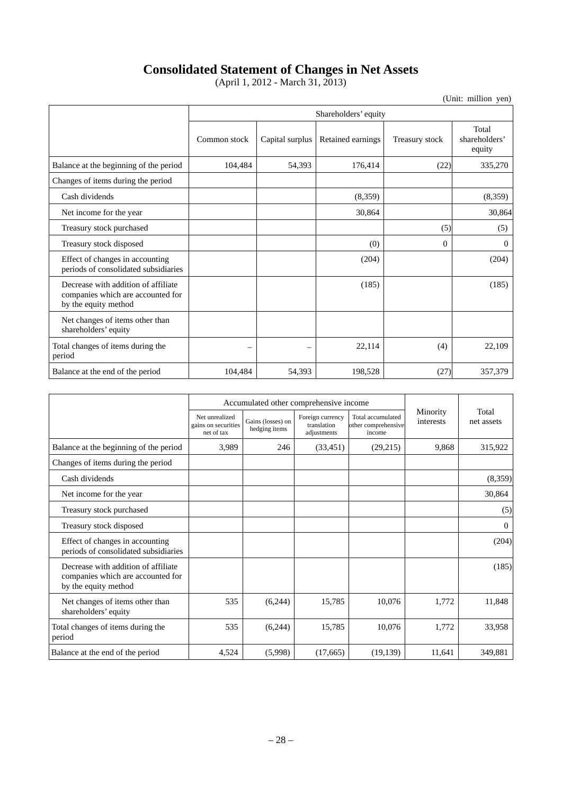## **Consolidated Statement of Changes in Net Assets**

(April 1, 2012 - March 31, 2013)

|                                                                                                  |              | Shareholders' equity |                   |                |                                  |  |  |  |  |
|--------------------------------------------------------------------------------------------------|--------------|----------------------|-------------------|----------------|----------------------------------|--|--|--|--|
|                                                                                                  | Common stock | Capital surplus      | Retained earnings | Treasury stock | Total<br>shareholders'<br>equity |  |  |  |  |
| Balance at the beginning of the period                                                           | 104,484      | 54,393               | 176,414           | (22)           | 335,270                          |  |  |  |  |
| Changes of items during the period                                                               |              |                      |                   |                |                                  |  |  |  |  |
| Cash dividends                                                                                   |              |                      | (8,359)           |                | (8,359)                          |  |  |  |  |
| Net income for the year                                                                          |              |                      | 30,864            |                | 30,864                           |  |  |  |  |
| Treasury stock purchased                                                                         |              |                      |                   | (5)            | (5)                              |  |  |  |  |
| Treasury stock disposed                                                                          |              |                      | (0)               | $\Omega$       | $\overline{0}$                   |  |  |  |  |
| Effect of changes in accounting<br>periods of consolidated subsidiaries                          |              |                      | (204)             |                | (204)                            |  |  |  |  |
| Decrease with addition of affiliate<br>companies which are accounted for<br>by the equity method |              |                      | (185)             |                | (185)                            |  |  |  |  |
| Net changes of items other than<br>shareholders' equity                                          |              |                      |                   |                |                                  |  |  |  |  |
| Total changes of items during the<br>period                                                      | -            | -                    | 22,114            | (4)            | 22,109                           |  |  |  |  |
| Balance at the end of the period                                                                 | 104,484      | 54,393               | 198,528           | (27)           | 357,379                          |  |  |  |  |

|                                                                                                  |                                                     | Accumulated other comprehensive income |                                                |                                                    |                       |                     |
|--------------------------------------------------------------------------------------------------|-----------------------------------------------------|----------------------------------------|------------------------------------------------|----------------------------------------------------|-----------------------|---------------------|
|                                                                                                  | Net unrealized<br>gains on securities<br>net of tax | Gains (losses) on<br>hedging items     | Foreign currency<br>translation<br>adjustments | Total accumulated<br>other comprehensive<br>income | Minority<br>interests | Total<br>net assets |
| Balance at the beginning of the period                                                           | 3,989                                               | 246                                    | (33, 451)                                      | (29,215)                                           | 9,868                 | 315,922             |
| Changes of items during the period                                                               |                                                     |                                        |                                                |                                                    |                       |                     |
| Cash dividends                                                                                   |                                                     |                                        |                                                |                                                    |                       | (8,359)             |
| Net income for the year                                                                          |                                                     |                                        |                                                |                                                    |                       | 30,864              |
| Treasury stock purchased                                                                         |                                                     |                                        |                                                |                                                    |                       | (5)                 |
| Treasury stock disposed                                                                          |                                                     |                                        |                                                |                                                    |                       | $\overline{0}$      |
| Effect of changes in accounting<br>periods of consolidated subsidiaries                          |                                                     |                                        |                                                |                                                    |                       | (204)               |
| Decrease with addition of affiliate<br>companies which are accounted for<br>by the equity method |                                                     |                                        |                                                |                                                    |                       | (185)               |
| Net changes of items other than<br>shareholders' equity                                          | 535                                                 | (6,244)                                | 15,785                                         | 10,076                                             | 1,772                 | 11,848              |
| Total changes of items during the<br>period                                                      | 535                                                 | (6,244)                                | 15,785                                         | 10,076                                             | 1,772                 | 33,958              |
| Balance at the end of the period                                                                 | 4,524                                               | (5,998)                                | (17,665)                                       | (19, 139)                                          | 11,641                | 349,881             |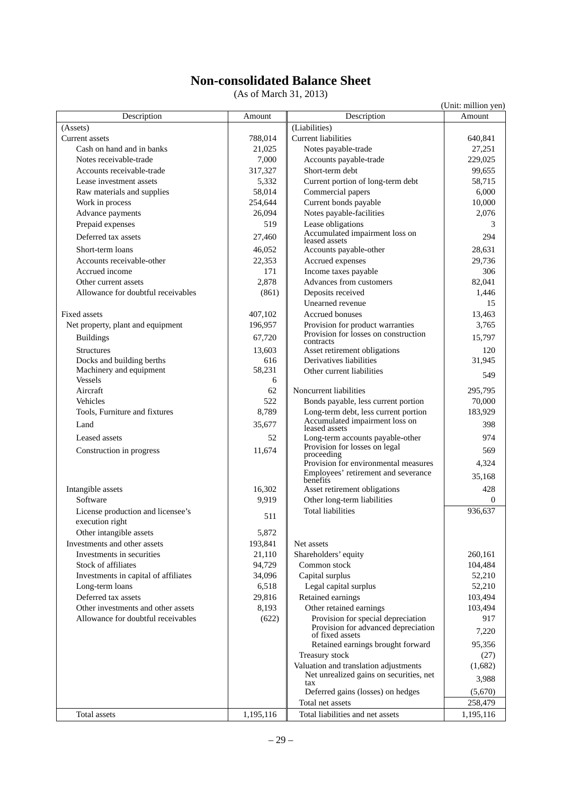## **Non-consolidated Balance Sheet**

(As of March 31, 2013)

|                                                      |           |                                                                        | (Unit: million yen) |
|------------------------------------------------------|-----------|------------------------------------------------------------------------|---------------------|
| Description                                          | Amount    | Description                                                            | Amount              |
| (Assets)                                             |           | (Liabilities)                                                          |                     |
| Current assets                                       | 788,014   | <b>Current liabilities</b>                                             | 640,841             |
| Cash on hand and in banks                            | 21,025    | Notes payable-trade                                                    | 27,251              |
| Notes receivable-trade                               | 7,000     | Accounts payable-trade                                                 | 229,025             |
| Accounts receivable-trade                            | 317,327   | Short-term debt                                                        | 99,655              |
| Lease investment assets                              | 5,332     | Current portion of long-term debt                                      | 58,715              |
| Raw materials and supplies                           | 58,014    | Commercial papers                                                      | 6,000               |
| Work in process                                      | 254,644   | Current bonds payable                                                  | 10,000              |
| Advance payments                                     | 26,094    | Notes payable-facilities                                               | 2,076               |
| Prepaid expenses                                     | 519       | Lease obligations                                                      | 3                   |
| Deferred tax assets                                  | 27,460    | Accumulated impairment loss on<br>leased assets                        | 294                 |
| Short-term loans                                     | 46,052    | Accounts payable-other                                                 | 28,631              |
| Accounts receivable-other                            | 22,353    | Accrued expenses                                                       | 29,736              |
| Accrued income                                       | 171       | Income taxes payable                                                   | 306                 |
| Other current assets                                 | 2.878     | Advances from customers                                                | 82,041              |
| Allowance for doubtful receivables                   | (861)     | Deposits received                                                      | 1,446               |
|                                                      |           | Unearned revenue                                                       | 15                  |
| Fixed assets                                         | 407,102   | Accrued bonuses                                                        | 13,463              |
| Net property, plant and equipment                    | 196,957   | Provision for product warranties                                       | 3,765               |
| <b>Buildings</b>                                     | 67,720    | Provision for losses on construction<br>contracts                      | 15,797              |
| <b>Structures</b>                                    | 13,603    | Asset retirement obligations                                           | 120                 |
| Docks and building berths                            | 616       | Derivatives liabilities                                                | 31,945              |
| Machinery and equipment                              | 58,231    | Other current liabilities                                              | 549                 |
| <b>Vessels</b>                                       | 6         |                                                                        |                     |
| Aircraft                                             | 62        | Noncurrent liabilities                                                 | 295,795             |
| Vehicles                                             | 522       | Bonds payable, less current portion                                    | 70,000              |
| Tools, Furniture and fixtures                        | 8,789     | Long-term debt, less current portion<br>Accumulated impairment loss on | 183,929             |
| Land                                                 | 35,677    | leased assets                                                          | 398                 |
| Leased assets                                        | 52        | Long-term accounts payable-other                                       | 974                 |
| Construction in progress                             | 11,674    | Provision for losses on legal<br>proceeding                            | 569                 |
|                                                      |           | Provision for environmental measures                                   | 4,324               |
|                                                      |           | Employees' retirement and severance                                    | 35,168              |
|                                                      |           | benefits                                                               |                     |
| Intangible assets                                    | 16,302    | Asset retirement obligations                                           | 428                 |
| Software                                             | 9,919     | Other long-term liabilities                                            | 0                   |
| License production and licensee's<br>execution right | 511       | <b>Total liabilities</b>                                               | 936,637             |
| Other intangible assets                              | 5,872     |                                                                        |                     |
| Investments and other assets                         | 193,841   | Net assets                                                             |                     |
| Investments in securities                            | 21,110    | Shareholders' equity                                                   | 260,161             |
| Stock of affiliates                                  | 94,729    | Common stock                                                           | 104,484             |
| Investments in capital of affiliates                 | 34,096    | Capital surplus                                                        | 52,210              |
| Long-term loans                                      | 6,518     | Legal capital surplus                                                  | 52,210              |
| Deferred tax assets                                  | 29,816    | Retained earnings                                                      | 103,494             |
| Other investments and other assets                   | 8,193     | Other retained earnings                                                | 103,494             |
| Allowance for doubtful receivables                   | (622)     | Provision for special depreciation                                     | 917                 |
|                                                      |           | Provision for advanced depreciation<br>of fixed assets                 | 7,220               |
|                                                      |           | Retained earnings brought forward                                      | 95,356              |
|                                                      |           | Treasury stock                                                         | (27)                |
|                                                      |           | Valuation and translation adjustments                                  | (1,682)             |
|                                                      |           | Net unrealized gains on securities, net                                | 3,988               |
|                                                      |           | tax<br>Deferred gains (losses) on hedges                               | (5,670)             |
|                                                      |           | Total net assets                                                       | 258,479             |
| Total assets                                         | 1,195,116 | Total liabilities and net assets                                       | 1,195,116           |
|                                                      |           |                                                                        |                     |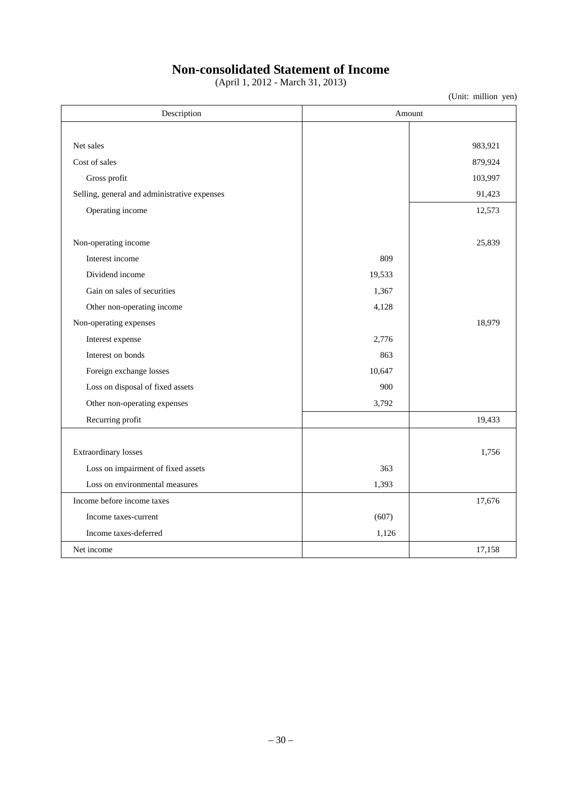# **Non-consolidated Statement of Income**

(April 1, 2012 - March 31, 2013)

| Description                                  | Amount |         |  |
|----------------------------------------------|--------|---------|--|
|                                              |        |         |  |
| Net sales                                    |        | 983,921 |  |
| Cost of sales                                |        | 879,924 |  |
| Gross profit                                 |        | 103,997 |  |
| Selling, general and administrative expenses |        | 91,423  |  |
| Operating income                             |        | 12,573  |  |
| Non-operating income                         |        | 25,839  |  |
| Interest income                              | 809    |         |  |
| Dividend income                              | 19,533 |         |  |
| Gain on sales of securities                  | 1,367  |         |  |
| Other non-operating income                   | 4,128  |         |  |
| Non-operating expenses                       |        | 18,979  |  |
| Interest expense                             | 2,776  |         |  |
| Interest on bonds                            | 863    |         |  |
| Foreign exchange losses                      | 10,647 |         |  |
| Loss on disposal of fixed assets             | 900    |         |  |
| Other non-operating expenses                 | 3,792  |         |  |
| Recurring profit                             |        | 19,433  |  |
|                                              |        |         |  |
| Extraordinary losses                         |        | 1,756   |  |
| Loss on impairment of fixed assets           | 363    |         |  |
| Loss on environmental measures               | 1,393  |         |  |
| Income before income taxes                   |        | 17,676  |  |
| Income taxes-current                         | (607)  |         |  |
| Income taxes-deferred                        | 1,126  |         |  |
| Net income                                   |        | 17,158  |  |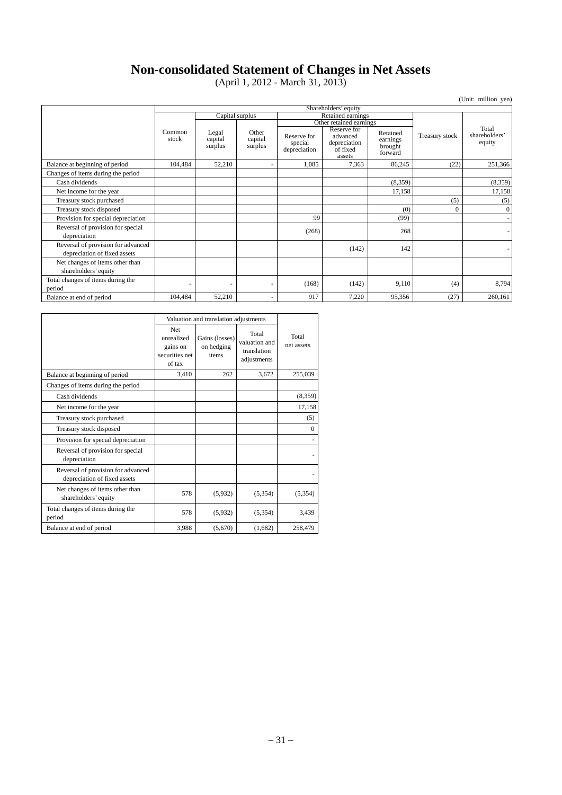## **Non-consolidated Statement of Changes in Net Assets**

(April 1, 2012 - March 31, 2013)

|                                                                    |                      |                             |                                      |                                        |                                                               |                                            |                | (Unit: million yen)              |  |
|--------------------------------------------------------------------|----------------------|-----------------------------|--------------------------------------|----------------------------------------|---------------------------------------------------------------|--------------------------------------------|----------------|----------------------------------|--|
|                                                                    | Shareholders' equity |                             |                                      |                                        |                                                               |                                            |                |                                  |  |
|                                                                    |                      |                             | Capital surplus<br>Retained earnings |                                        |                                                               |                                            |                |                                  |  |
|                                                                    |                      |                             |                                      | Other retained earnings                |                                                               |                                            |                |                                  |  |
|                                                                    | Common<br>stock      | Legal<br>capital<br>surplus | Other<br>capital<br>surplus          | Reserve for<br>special<br>depreciation | Reserve for<br>advanced<br>depreciation<br>of fixed<br>assets | Retained<br>earnings<br>brought<br>forward | Treasury stock | Total<br>shareholders'<br>equity |  |
| Balance at beginning of period                                     | 104,484              | 52,210                      | ÷,                                   | 1,085                                  | 7,363                                                         | 86,245                                     | (22)           | 251,366                          |  |
| Changes of items during the period                                 |                      |                             |                                      |                                        |                                                               |                                            |                |                                  |  |
| Cash dividends                                                     |                      |                             |                                      |                                        |                                                               | (8,359)                                    |                | (8,359)                          |  |
| Net income for the year                                            |                      |                             |                                      |                                        |                                                               | 17,158                                     |                | 17,158                           |  |
| Treasury stock purchased                                           |                      |                             |                                      |                                        |                                                               |                                            | (5)            | (5)                              |  |
| Treasury stock disposed                                            |                      |                             |                                      |                                        |                                                               | (0)                                        | $\theta$       | $\mathbf{0}$                     |  |
| Provision for special depreciation                                 |                      |                             |                                      | 99                                     |                                                               | (99)                                       |                |                                  |  |
| Reversal of provision for special<br>depreciation                  |                      |                             |                                      | (268)                                  |                                                               | 268                                        |                |                                  |  |
| Reversal of provision for advanced<br>depreciation of fixed assets |                      |                             |                                      |                                        | (142)                                                         | 142                                        |                |                                  |  |
| Net changes of items other than<br>shareholders' equity            |                      |                             |                                      |                                        |                                                               |                                            |                |                                  |  |
| Total changes of items during the<br>period                        | ۰                    |                             |                                      | (168)                                  | (142)                                                         | 9,110                                      | (4)            | 8,794                            |  |
| Balance at end of period                                           | 104,484              | 52,210                      | ٠                                    | 917                                    | 7,220                                                         | 95,356                                     | (27)           | 260,161                          |  |

|                                                                    | Valuation and translation adjustments                            |                                       |                                                      |                     |
|--------------------------------------------------------------------|------------------------------------------------------------------|---------------------------------------|------------------------------------------------------|---------------------|
|                                                                    | <b>Net</b><br>unrealized<br>gains on<br>securities net<br>of tax | Gains (losses)<br>on hedging<br>items | Total<br>valuation and<br>translation<br>adjustments | Total<br>net assets |
| Balance at beginning of period                                     | 3.410                                                            | 262                                   | 3,672                                                | 255,039             |
| Changes of items during the period                                 |                                                                  |                                       |                                                      |                     |
| Cash dividends                                                     |                                                                  |                                       |                                                      | (8,359)             |
| Net income for the year                                            |                                                                  |                                       |                                                      | 17,158              |
| Treasury stock purchased                                           |                                                                  |                                       |                                                      | (5)                 |
| Treasury stock disposed                                            |                                                                  |                                       |                                                      | $\mathbf{0}$        |
| Provision for special depreciation                                 |                                                                  |                                       |                                                      |                     |
| Reversal of provision for special<br>depreciation                  |                                                                  |                                       |                                                      |                     |
| Reversal of provision for advanced<br>depreciation of fixed assets |                                                                  |                                       |                                                      |                     |
| Net changes of items other than<br>shareholders' equity            | 578                                                              | (5,932)                               | (5, 354)                                             | (5,354)             |
| Total changes of items during the<br>period                        | 578                                                              | (5,932)                               | (5,354)                                              | 3,439               |
| Balance at end of period                                           | 3,988                                                            | (5,670)                               | (1,682)                                              | 258,479             |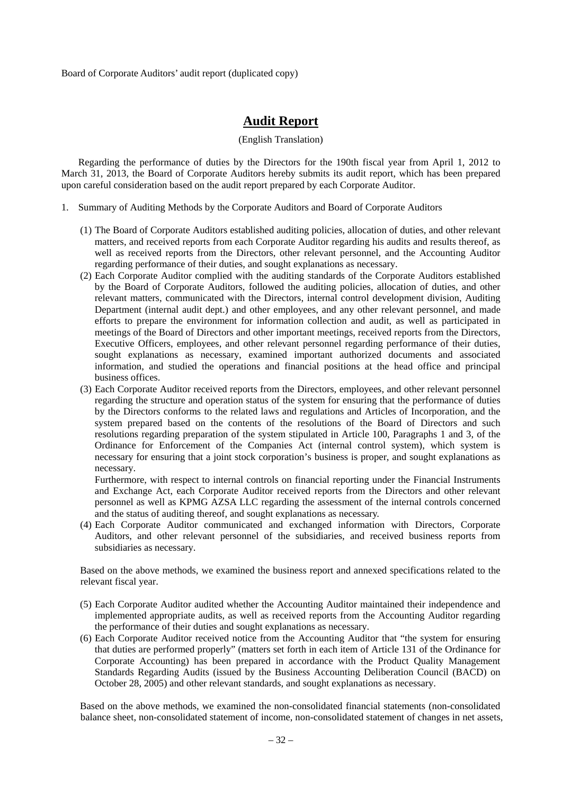Board of Corporate Auditors' audit report (duplicated copy)

## **Audit Report**

#### (English Translation)

Regarding the performance of duties by the Directors for the 190th fiscal year from April 1, 2012 to March 31, 2013, the Board of Corporate Auditors hereby submits its audit report, which has been prepared upon careful consideration based on the audit report prepared by each Corporate Auditor.

- 1. Summary of Auditing Methods by the Corporate Auditors and Board of Corporate Auditors
	- (1) The Board of Corporate Auditors established auditing policies, allocation of duties, and other relevant matters, and received reports from each Corporate Auditor regarding his audits and results thereof, as well as received reports from the Directors, other relevant personnel, and the Accounting Auditor regarding performance of their duties, and sought explanations as necessary.
	- (2) Each Corporate Auditor complied with the auditing standards of the Corporate Auditors established by the Board of Corporate Auditors, followed the auditing policies, allocation of duties, and other relevant matters, communicated with the Directors, internal control development division, Auditing Department (internal audit dept.) and other employees, and any other relevant personnel, and made efforts to prepare the environment for information collection and audit, as well as participated in meetings of the Board of Directors and other important meetings, received reports from the Directors, Executive Officers, employees, and other relevant personnel regarding performance of their duties, sought explanations as necessary, examined important authorized documents and associated information, and studied the operations and financial positions at the head office and principal business offices.
	- (3) Each Corporate Auditor received reports from the Directors, employees, and other relevant personnel regarding the structure and operation status of the system for ensuring that the performance of duties by the Directors conforms to the related laws and regulations and Articles of Incorporation, and the system prepared based on the contents of the resolutions of the Board of Directors and such resolutions regarding preparation of the system stipulated in Article 100, Paragraphs 1 and 3, of the Ordinance for Enforcement of the Companies Act (internal control system), which system is necessary for ensuring that a joint stock corporation's business is proper, and sought explanations as necessary.

Furthermore, with respect to internal controls on financial reporting under the Financial Instruments and Exchange Act, each Corporate Auditor received reports from the Directors and other relevant personnel as well as KPMG AZSA LLC regarding the assessment of the internal controls concerned and the status of auditing thereof, and sought explanations as necessary.

(4) Each Corporate Auditor communicated and exchanged information with Directors, Corporate Auditors, and other relevant personnel of the subsidiaries, and received business reports from subsidiaries as necessary.

Based on the above methods, we examined the business report and annexed specifications related to the relevant fiscal year.

- (5) Each Corporate Auditor audited whether the Accounting Auditor maintained their independence and implemented appropriate audits, as well as received reports from the Accounting Auditor regarding the performance of their duties and sought explanations as necessary.
- (6) Each Corporate Auditor received notice from the Accounting Auditor that "the system for ensuring that duties are performed properly" (matters set forth in each item of Article 131 of the Ordinance for Corporate Accounting) has been prepared in accordance with the Product Quality Management Standards Regarding Audits (issued by the Business Accounting Deliberation Council (BACD) on October 28, 2005) and other relevant standards, and sought explanations as necessary.

Based on the above methods, we examined the non-consolidated financial statements (non-consolidated balance sheet, non-consolidated statement of income, non-consolidated statement of changes in net assets,